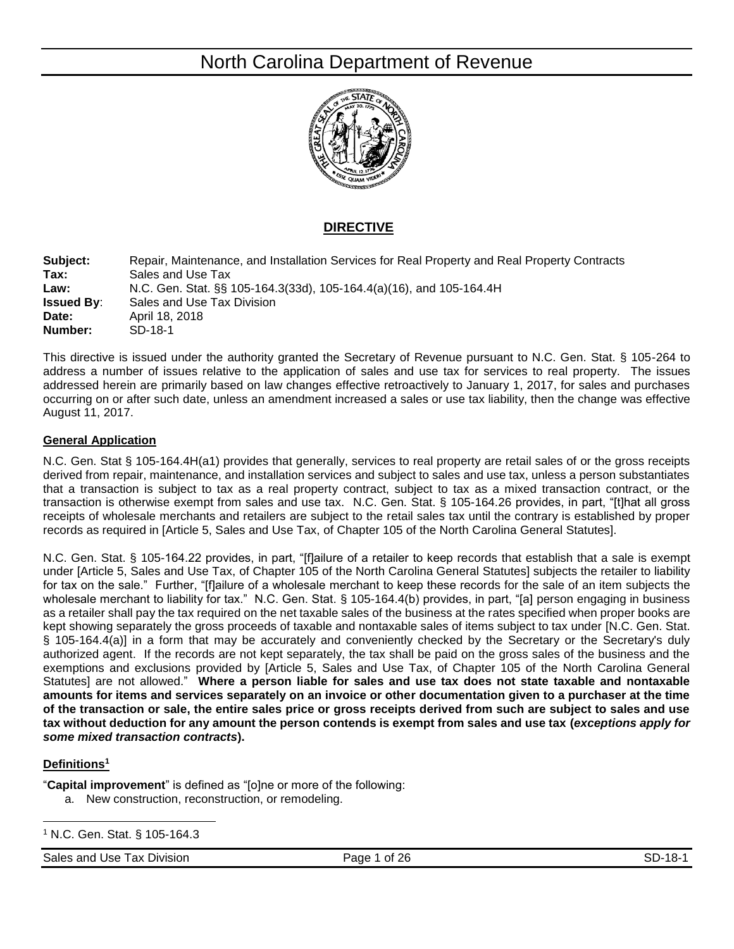

#### **DIRECTIVE**

**Subject:** Repair, Maintenance, and Installation Services for Real Property and Real Property Contracts **Tax:** Sales and Use Tax **Law:** N.C. Gen. Stat. §§ 105-164.3(33d), 105-164.4(a)(16), and 105-164.4H **Issued By:** Sales and Use Tax Division **Date:** April 18, 2018 **Number:** SD-18-1

This directive is issued under the authority granted the Secretary of Revenue pursuant to N.C. Gen. Stat. § 105-264 to address a number of issues relative to the application of sales and use tax for services to real property. The issues addressed herein are primarily based on law changes effective retroactively to January 1, 2017, for sales and purchases occurring on or after such date, unless an amendment increased a sales or use tax liability, then the change was effective August 11, 2017.

#### **General Application**

N.C. Gen. Stat § 105-164.4H(a1) provides that generally, services to real property are retail sales of or the gross receipts derived from repair, maintenance, and installation services and subject to sales and use tax, unless a person substantiates that a transaction is subject to tax as a real property contract, subject to tax as a mixed transaction contract, or the transaction is otherwise exempt from sales and use tax. N.C. Gen. Stat. § 105-164.26 provides, in part, "[t]hat all gross receipts of wholesale merchants and retailers are subject to the retail sales tax until the contrary is established by proper records as required in [Article 5, Sales and Use Tax, of Chapter 105 of the North Carolina General Statutes].

N.C. Gen. Stat. § 105-164.22 provides, in part, "[f]ailure of a retailer to keep records that establish that a sale is exempt under [Article 5, Sales and Use Tax, of Chapter 105 of the North Carolina General Statutes] subjects the retailer to liability for tax on the sale." Further, "[f]ailure of a wholesale merchant to keep these records for the sale of an item subjects the wholesale merchant to liability for tax." N.C. Gen. Stat. § 105-164.4(b) provides, in part, "[a] person engaging in business as a retailer shall pay the tax required on the net taxable sales of the business at the rates specified when proper books are kept showing separately the gross proceeds of taxable and nontaxable sales of items subject to tax under [N.C. Gen. Stat. § 105-164.4(a)] in a form that may be accurately and conveniently checked by the Secretary or the Secretary's duly authorized agent. If the records are not kept separately, the tax shall be paid on the gross sales of the business and the exemptions and exclusions provided by [Article 5, Sales and Use Tax, of Chapter 105 of the North Carolina General Statutes] are not allowed." **Where a person liable for sales and use tax does not state taxable and nontaxable amounts for items and services separately on an invoice or other documentation given to a purchaser at the time of the transaction or sale, the entire sales price or gross receipts derived from such are subject to sales and use tax without deduction for any amount the person contends is exempt from sales and use tax (***exceptions apply for some mixed transaction contracts***).**

#### **Definitions<sup>1</sup>**

 $\overline{\phantom{a}}$ 

"**Capital improvement**" is defined as "[o]ne or more of the following:

a. New construction, reconstruction, or remodeling.

```
1 N.C. Gen. Stat. § 105-164.3
```
Sales and Use Tax Division **Subset Contract Contract Page 1 of 26** SD-18-1 SD-18-1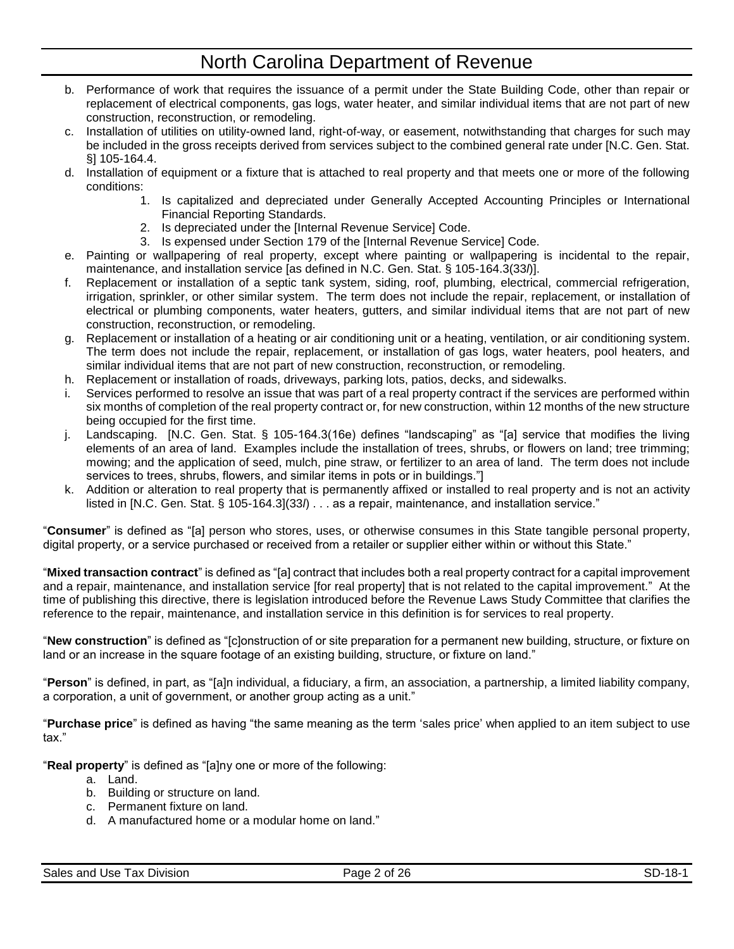- b. Performance of work that requires the issuance of a permit under the State Building Code, other than repair or replacement of electrical components, gas logs, water heater, and similar individual items that are not part of new construction, reconstruction, or remodeling.
- c. Installation of utilities on utility-owned land, right-of-way, or easement, notwithstanding that charges for such may be included in the gross receipts derived from services subject to the combined general rate under [N.C. Gen. Stat. §] 105-164.4.
- d. Installation of equipment or a fixture that is attached to real property and that meets one or more of the following conditions:
	- 1. Is capitalized and depreciated under Generally Accepted Accounting Principles or International Financial Reporting Standards.
	- 2. Is depreciated under the [Internal Revenue Service] Code.
	- 3. Is expensed under Section 179 of the [Internal Revenue Service] Code.
- e. Painting or wallpapering of real property, except where painting or wallpapering is incidental to the repair, maintenance, and installation service [as defined in N.C. Gen. Stat. § 105-164.3(33*l*)].
- f. Replacement or installation of a septic tank system, siding, roof, plumbing, electrical, commercial refrigeration, irrigation, sprinkler, or other similar system. The term does not include the repair, replacement, or installation of electrical or plumbing components, water heaters, gutters, and similar individual items that are not part of new construction, reconstruction, or remodeling.
- g. Replacement or installation of a heating or air conditioning unit or a heating, ventilation, or air conditioning system. The term does not include the repair, replacement, or installation of gas logs, water heaters, pool heaters, and similar individual items that are not part of new construction, reconstruction, or remodeling.
- h. Replacement or installation of roads, driveways, parking lots, patios, decks, and sidewalks.
- i. Services performed to resolve an issue that was part of a real property contract if the services are performed within six months of completion of the real property contract or, for new construction, within 12 months of the new structure being occupied for the first time.
- j. Landscaping. [N.C. Gen. Stat. § 105-164.3(16e) defines "landscaping" as "[a] service that modifies the living elements of an area of land. Examples include the installation of trees, shrubs, or flowers on land; tree trimming; mowing; and the application of seed, mulch, pine straw, or fertilizer to an area of land. The term does not include services to trees, shrubs, flowers, and similar items in pots or in buildings."]
- k. Addition or alteration to real property that is permanently affixed or installed to real property and is not an activity listed in [N.C. Gen. Stat. § 105-164.3](33*l*) . . . as a repair, maintenance, and installation service."

"**Consumer**" is defined as "[a] person who stores, uses, or otherwise consumes in this State tangible personal property, digital property, or a service purchased or received from a retailer or supplier either within or without this State."

"**Mixed transaction contract**" is defined as "[a] contract that includes both a real property contract for a capital improvement and a repair, maintenance, and installation service [for real property] that is not related to the capital improvement." At the time of publishing this directive, there is legislation introduced before the Revenue Laws Study Committee that clarifies the reference to the repair, maintenance, and installation service in this definition is for services to real property.

"**New construction**" is defined as "[c]onstruction of or site preparation for a permanent new building, structure, or fixture on land or an increase in the square footage of an existing building, structure, or fixture on land."

"**Person**" is defined, in part, as "[a]n individual, a fiduciary, a firm, an association, a partnership, a limited liability company, a corporation, a unit of government, or another group acting as a unit."

"**Purchase price**" is defined as having "the same meaning as the term 'sales price' when applied to an item subject to use tax."

"**Real property**" is defined as "[a]ny one or more of the following:

- a. Land.
- b. Building or structure on land.
- c. Permanent fixture on land.
- d. A manufactured home or a modular home on land."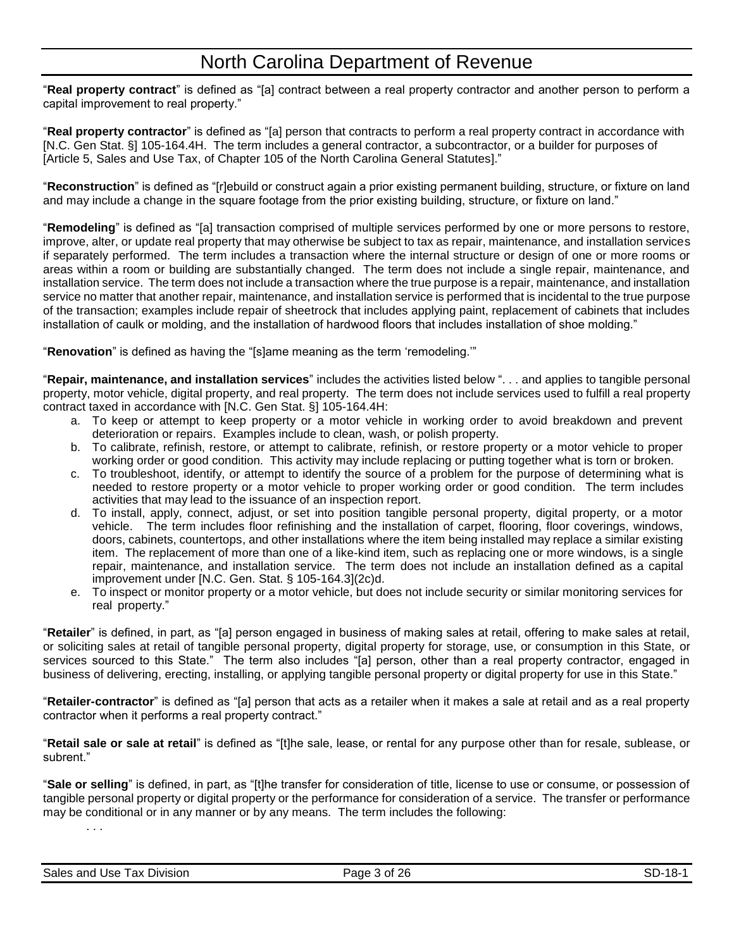"**Real property contract**" is defined as "[a] contract between a real property contractor and another person to perform a capital improvement to real property."

"**Real property contractor**" is defined as "[a] person that contracts to perform a real property contract in accordance with [N.C. Gen Stat. §] 105-164.4H. The term includes a general contractor, a subcontractor, or a builder for purposes of [Article 5, Sales and Use Tax, of Chapter 105 of the North Carolina General Statutes]."

"**Reconstruction**" is defined as "[r]ebuild or construct again a prior existing permanent building, structure, or fixture on land and may include a change in the square footage from the prior existing building, structure, or fixture on land."

"**Remodeling**" is defined as "[a] transaction comprised of multiple services performed by one or more persons to restore, improve, alter, or update real property that may otherwise be subject to tax as repair, maintenance, and installation services if separately performed. The term includes a transaction where the internal structure or design of one or more rooms or areas within a room or building are substantially changed. The term does not include a single repair, maintenance, and installation service. The term does not include a transaction where the true purpose is a repair, maintenance, and installation service no matter that another repair, maintenance, and installation service is performed that is incidental to the true purpose of the transaction; examples include repair of sheetrock that includes applying paint, replacement of cabinets that includes installation of caulk or molding, and the installation of hardwood floors that includes installation of shoe molding."

"**Renovation**" is defined as having the "[s]ame meaning as the term 'remodeling.'"

"**Repair, maintenance, and installation services**" includes the activities listed below ". . . and applies to tangible personal property, motor vehicle, digital property, and real property. The term does not include services used to fulfill a real property contract taxed in accordance with [N.C. Gen Stat. §] 105-164.4H:

- a. To keep or attempt to keep property or a motor vehicle in working order to avoid breakdown and prevent deterioration or repairs. Examples include to clean, wash, or polish property.
- b. To calibrate, refinish, restore, or attempt to calibrate, refinish, or restore property or a motor vehicle to proper working order or good condition. This activity may include replacing or putting together what is torn or broken.
- c. To troubleshoot, identify, or attempt to identify the source of a problem for the purpose of determining what is needed to restore property or a motor vehicle to proper working order or good condition. The term includes activities that may lead to the issuance of an inspection report.
- d. To install, apply, connect, adjust, or set into position tangible personal property, digital property, or a motor<br>vehicle. The term includes floor refinishing and the installation of carpet, flooring, floor coverings, w The term includes floor refinishing and the installation of carpet, flooring, floor coverings, windows, doors, cabinets, countertops, and other installations where the item being installed may replace a similar existing item. The replacement of more than one of a like-kind item, such as replacing one or more windows, is a single repair, maintenance, and installation service. The term does not include an installation defined as a capital improvement under [N.C. Gen. Stat. § 105-164.3](2c)d.
- e. To inspect or monitor property or a motor vehicle, but does not include security or similar monitoring services for real property."

"**Retailer**" is defined, in part, as "[a] person engaged in business of making sales at retail, offering to make sales at retail, or soliciting sales at retail of tangible personal property, digital property for storage, use, or consumption in this State, or services sourced to this State." The term also includes "[a] person, other than a real property contractor, engaged in business of delivering, erecting, installing, or applying tangible personal property or digital property for use in this State."

"**Retailer-contractor**" is defined as "[a] person that acts as a retailer when it makes a sale at retail and as a real property contractor when it performs a real property contract."

"**Retail sale or sale at retail**" is defined as "[t]he sale, lease, or rental for any purpose other than for resale, sublease, or subrent."

"**Sale or selling**" is defined, in part, as "[t]he transfer for consideration of title, license to use or consume, or possession of tangible personal property or digital property or the performance for consideration of a service. The transfer or performance may be conditional or in any manner or by any means. The term includes the following:

. . .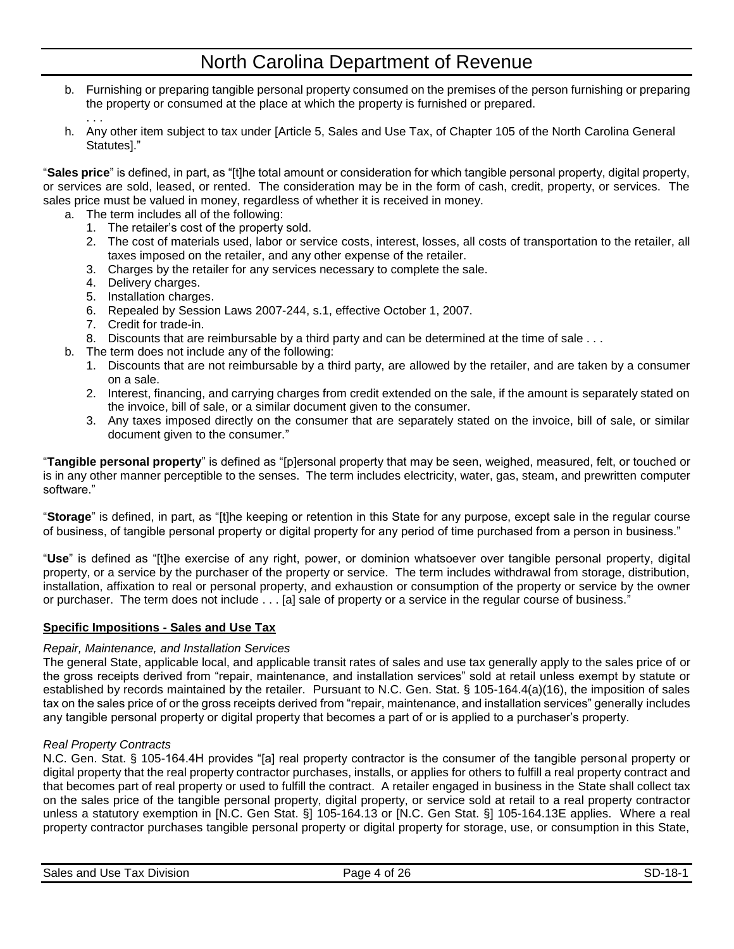- b. Furnishing or preparing tangible personal property consumed on the premises of the person furnishing or preparing the property or consumed at the place at which the property is furnished or prepared.
- . . . h. Any other item subject to tax under [Article 5, Sales and Use Tax, of Chapter 105 of the North Carolina General Statutes]."

"**Sales price**" is defined, in part, as "[t]he total amount or consideration for which tangible personal property, digital property, or services are sold, leased, or rented. The consideration may be in the form of cash, credit, property, or services. The sales price must be valued in money, regardless of whether it is received in money.

- a. The term includes all of the following:
	- 1. The retailer's cost of the property sold.
	- 2. The cost of materials used, labor or service costs, interest, losses, all costs of transportation to the retailer, all taxes imposed on the retailer, and any other expense of the retailer.
	- 3. Charges by the retailer for any services necessary to complete the sale.
	- 4. Delivery charges.
	- 5. Installation charges.
	- 6. Repealed by Session Laws 2007-244, s.1, effective October 1, 2007.
	- 7. Credit for trade-in.
	- 8. Discounts that are reimbursable by a third party and can be determined at the time of sale . . .
- b. The term does not include any of the following:
	- 1. Discounts that are not reimbursable by a third party, are allowed by the retailer, and are taken by a consumer on a sale.
	- 2. Interest, financing, and carrying charges from credit extended on the sale, if the amount is separately stated on the invoice, bill of sale, or a similar document given to the consumer.
	- 3. Any taxes imposed directly on the consumer that are separately stated on the invoice, bill of sale, or similar document given to the consumer."

"**Tangible personal property**" is defined as "[p]ersonal property that may be seen, weighed, measured, felt, or touched or is in any other manner perceptible to the senses. The term includes electricity, water, gas, steam, and prewritten computer software."

"**Storage**" is defined, in part, as "[t]he keeping or retention in this State for any purpose, except sale in the regular course of business, of tangible personal property or digital property for any period of time purchased from a person in business."

"**Use**" is defined as "[t]he exercise of any right, power, or dominion whatsoever over tangible personal property, digital property, or a service by the purchaser of the property or service. The term includes withdrawal from storage, distribution, installation, affixation to real or personal property, and exhaustion or consumption of the property or service by the owner or purchaser. The term does not include . . . [a] sale of property or a service in the regular course of business."

#### **Specific Impositions - Sales and Use Tax**

#### *Repair, Maintenance, and Installation Services*

The general State, applicable local, and applicable transit rates of sales and use tax generally apply to the sales price of or the gross receipts derived from "repair, maintenance, and installation services" sold at retail unless exempt by statute or established by records maintained by the retailer. Pursuant to N.C. Gen. Stat. § 105-164.4(a)(16), the imposition of sales tax on the sales price of or the gross receipts derived from "repair, maintenance, and installation services" generally includes any tangible personal property or digital property that becomes a part of or is applied to a purchaser's property.

#### *Real Property Contracts*

N.C. Gen. Stat. § 105-164.4H provides "[a] real property contractor is the consumer of the tangible personal property or digital property that the real property contractor purchases, installs, or applies for others to fulfill a real property contract and that becomes part of real property or used to fulfill the contract. A retailer engaged in business in the State shall collect tax on the sales price of the tangible personal property, digital property, or service sold at retail to a real property contractor unless a statutory exemption in [N.C. Gen Stat. §] 105-164.13 or [N.C. Gen Stat. §] 105-164.13E applies. Where a real property contractor purchases tangible personal property or digital property for storage, use, or consumption in this State,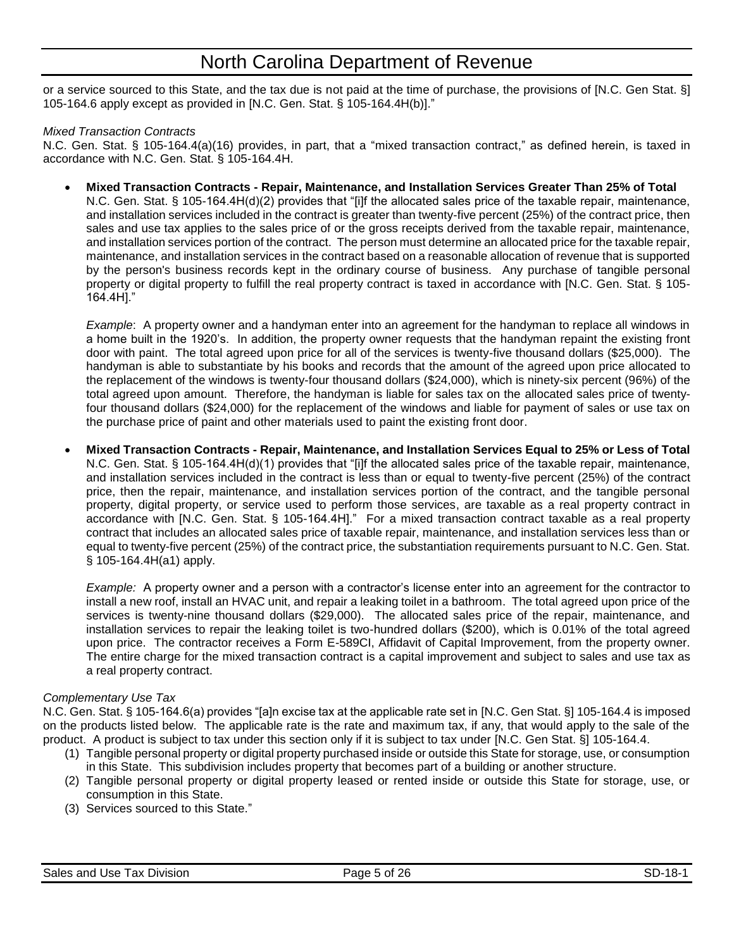or a service sourced to this State, and the tax due is not paid at the time of purchase, the provisions of [N.C. Gen Stat. §] 105-164.6 apply except as provided in [N.C. Gen. Stat. § 105-164.4H(b)]."

#### *Mixed Transaction Contracts*

N.C. Gen. Stat. § 105-164.4(a)(16) provides, in part, that a "mixed transaction contract," as defined herein, is taxed in accordance with N.C. Gen. Stat. § 105-164.4H.

 **Mixed Transaction Contracts - Repair, Maintenance, and Installation Services Greater Than 25% of Total**  N.C. Gen. Stat. § 105-164.4H(d)(2) provides that "[i]f the allocated sales price of the taxable repair, maintenance, and installation services included in the contract is greater than twenty-five percent (25%) of the contract price, then sales and use tax applies to the sales price of or the gross receipts derived from the taxable repair, maintenance, and installation services portion of the contract. The person must determine an allocated price for the taxable repair, maintenance, and installation services in the contract based on a reasonable allocation of revenue that is supported by the person's business records kept in the ordinary course of business. Any purchase of tangible personal property or digital property to fulfill the real property contract is taxed in accordance with [N.C. Gen. Stat. § 105- 164.4H]."

*Example*: A property owner and a handyman enter into an agreement for the handyman to replace all windows in a home built in the 1920's. In addition, the property owner requests that the handyman repaint the existing front door with paint. The total agreed upon price for all of the services is twenty-five thousand dollars (\$25,000). The handyman is able to substantiate by his books and records that the amount of the agreed upon price allocated to the replacement of the windows is twenty-four thousand dollars (\$24,000), which is ninety-six percent (96%) of the total agreed upon amount. Therefore, the handyman is liable for sales tax on the allocated sales price of twentyfour thousand dollars (\$24,000) for the replacement of the windows and liable for payment of sales or use tax on the purchase price of paint and other materials used to paint the existing front door.

 **Mixed Transaction Contracts - Repair, Maintenance, and Installation Services Equal to 25% or Less of Total**  N.C. Gen. Stat. § 105-164.4H(d)(1) provides that "[i]f the allocated sales price of the taxable repair, maintenance, and installation services included in the contract is less than or equal to twenty-five percent (25%) of the contract price, then the repair, maintenance, and installation services portion of the contract, and the tangible personal property, digital property, or service used to perform those services, are taxable as a real property contract in accordance with [N.C. Gen. Stat. § 105-164.4H]." For a mixed transaction contract taxable as a real property contract that includes an allocated sales price of taxable repair, maintenance, and installation services less than or equal to twenty-five percent (25%) of the contract price, the substantiation requirements pursuant to N.C. Gen. Stat. § 105-164.4H(a1) apply.

*Example:* A property owner and a person with a contractor's license enter into an agreement for the contractor to install a new roof, install an HVAC unit, and repair a leaking toilet in a bathroom. The total agreed upon price of the services is twenty-nine thousand dollars (\$29,000). The allocated sales price of the repair, maintenance, and installation services to repair the leaking toilet is two-hundred dollars (\$200), which is 0.01% of the total agreed upon price. The contractor receives a Form E-589CI, Affidavit of Capital Improvement, from the property owner. The entire charge for the mixed transaction contract is a capital improvement and subject to sales and use tax as a real property contract.

#### *Complementary Use Tax*

N.C. Gen. Stat. § 105-164.6(a) provides "[a]n excise tax at the applicable rate set in [N.C. Gen Stat. §] 105-164.4 is imposed on the products listed below. The applicable rate is the rate and maximum tax, if any, that would apply to the sale of the product. A product is subject to tax under this section only if it is subject to tax under [N.C. Gen Stat. §] 105-164.4.

- (1) Tangible personal property or digital property purchased inside or outside this State for storage, use, or consumption in this State. This subdivision includes property that becomes part of a building or another structure.
- (2) Tangible personal property or digital property leased or rented inside or outside this State for storage, use, or consumption in this State.
- (3) Services sourced to this State."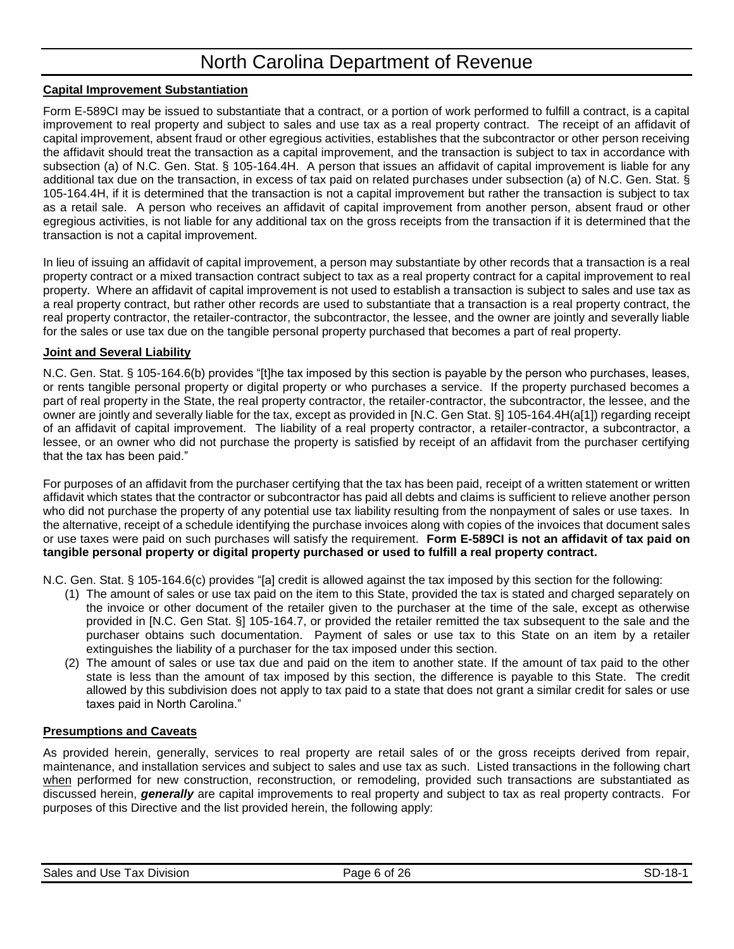#### **Capital Improvement Substantiation**

Form E-589CI may be issued to substantiate that a contract, or a portion of work performed to fulfill a contract, is a capital improvement to real property and subject to sales and use tax as a real property contract. The receipt of an affidavit of capital improvement, absent fraud or other egregious activities, establishes that the subcontractor or other person receiving the affidavit should treat the transaction as a capital improvement, and the transaction is subject to tax in accordance with subsection (a) of N.C. Gen. Stat. § 105-164.4H. A person that issues an affidavit of capital improvement is liable for any additional tax due on the transaction, in excess of tax paid on related purchases under subsection (a) of N.C. Gen. Stat. § 105-164.4H, if it is determined that the transaction is not a capital improvement but rather the transaction is subject to tax as a retail sale. A person who receives an affidavit of capital improvement from another person, absent fraud or other egregious activities, is not liable for any additional tax on the gross receipts from the transaction if it is determined that the transaction is not a capital improvement.

In lieu of issuing an affidavit of capital improvement, a person may substantiate by other records that a transaction is a real property contract or a mixed transaction contract subject to tax as a real property contract for a capital improvement to real property. Where an affidavit of capital improvement is not used to establish a transaction is subject to sales and use tax as a real property contract, but rather other records are used to substantiate that a transaction is a real property contract, the real property contractor, the retailer-contractor, the subcontractor, the lessee, and the owner are jointly and severally liable for the sales or use tax due on the tangible personal property purchased that becomes a part of real property.

#### **Joint and Several Liability**

N.C. Gen. Stat. § 105-164.6(b) provides "[t]he tax imposed by this section is payable by the person who purchases, leases, or rents tangible personal property or digital property or who purchases a service. If the property purchased becomes a part of real property in the State, the real property contractor, the retailer-contractor, the subcontractor, the lessee, and the owner are jointly and severally liable for the tax, except as provided in [N.C. Gen Stat. §] 105-164.4H(a[1]) regarding receipt of an affidavit of capital improvement. The liability of a real property contractor, a retailer-contractor, a subcontractor, a lessee, or an owner who did not purchase the property is satisfied by receipt of an affidavit from the purchaser certifying that the tax has been paid."

For purposes of an affidavit from the purchaser certifying that the tax has been paid, receipt of a written statement or written affidavit which states that the contractor or subcontractor has paid all debts and claims is sufficient to relieve another person who did not purchase the property of any potential use tax liability resulting from the nonpayment of sales or use taxes. In the alternative, receipt of a schedule identifying the purchase invoices along with copies of the invoices that document sales or use taxes were paid on such purchases will satisfy the requirement. **Form E-589CI is not an affidavit of tax paid on tangible personal property or digital property purchased or used to fulfill a real property contract.**

N.C. Gen. Stat. § 105-164.6(c) provides "[a] credit is allowed against the tax imposed by this section for the following:

- (1) The amount of sales or use tax paid on the item to this State, provided the tax is stated and charged separately on the invoice or other document of the retailer given to the purchaser at the time of the sale, except as otherwise provided in [N.C. Gen Stat. §] 105-164.7, or provided the retailer remitted the tax subsequent to the sale and the purchaser obtains such documentation. Payment of sales or use tax to this State on an item by a retailer extinguishes the liability of a purchaser for the tax imposed under this section.
- (2) The amount of sales or use tax due and paid on the item to another state. If the amount of tax paid to the other state is less than the amount of tax imposed by this section, the difference is payable to this State. The credit allowed by this subdivision does not apply to tax paid to a state that does not grant a similar credit for sales or use taxes paid in North Carolina."

#### **Presumptions and Caveats**

As provided herein, generally, services to real property are retail sales of or the gross receipts derived from repair, maintenance, and installation services and subject to sales and use tax as such. Listed transactions in the following chart when performed for new construction, reconstruction, or remodeling, provided such transactions are substantiated as discussed herein, *generally* are capital improvements to real property and subject to tax as real property contracts. For purposes of this Directive and the list provided herein, the following apply: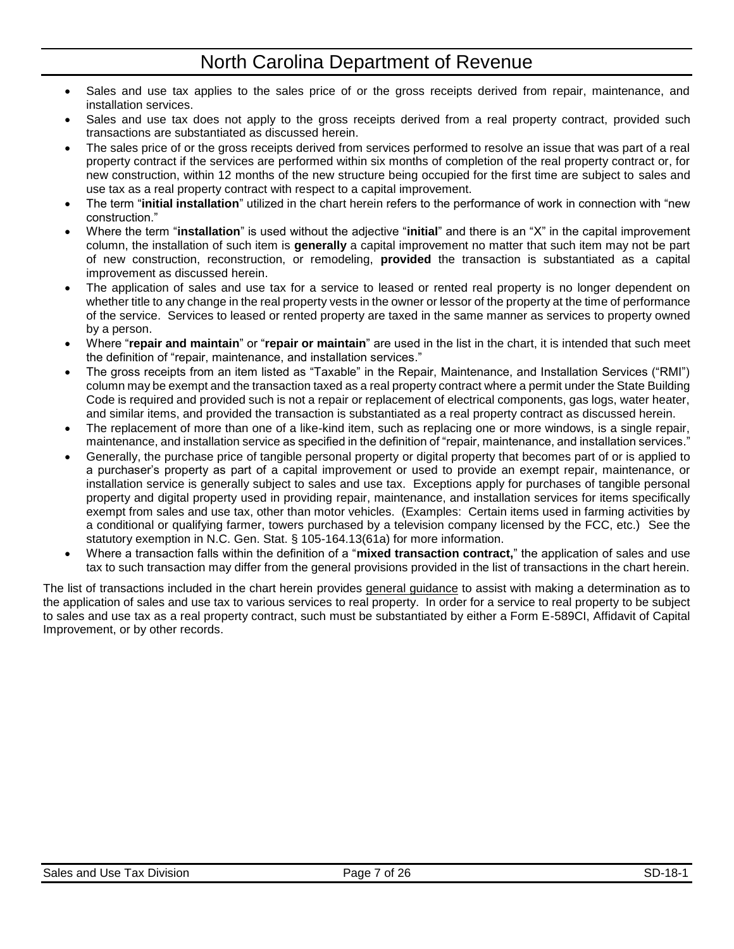- Sales and use tax applies to the sales price of or the gross receipts derived from repair, maintenance, and installation services.
- Sales and use tax does not apply to the gross receipts derived from a real property contract, provided such transactions are substantiated as discussed herein.
- The sales price of or the gross receipts derived from services performed to resolve an issue that was part of a real property contract if the services are performed within six months of completion of the real property contract or, for new construction, within 12 months of the new structure being occupied for the first time are subject to sales and use tax as a real property contract with respect to a capital improvement.
- The term "**initial installation**" utilized in the chart herein refers to the performance of work in connection with "new construction."
- Where the term "**installation**" is used without the adjective "**initial**" and there is an "X" in the capital improvement column, the installation of such item is **generally** a capital improvement no matter that such item may not be part of new construction, reconstruction, or remodeling, **provided** the transaction is substantiated as a capital improvement as discussed herein.
- The application of sales and use tax for a service to leased or rented real property is no longer dependent on whether title to any change in the real property vests in the owner or lessor of the property at the time of performance of the service. Services to leased or rented property are taxed in the same manner as services to property owned by a person.
- Where "**repair and maintain**" or "**repair or maintain**" are used in the list in the chart, it is intended that such meet the definition of "repair, maintenance, and installation services."
- The gross receipts from an item listed as "Taxable" in the Repair, Maintenance, and Installation Services ("RMI") column may be exempt and the transaction taxed as a real property contract where a permit under the State Building Code is required and provided such is not a repair or replacement of electrical components, gas logs, water heater, and similar items, and provided the transaction is substantiated as a real property contract as discussed herein.
- The replacement of more than one of a like-kind item, such as replacing one or more windows, is a single repair, maintenance, and installation service as specified in the definition of "repair, maintenance, and installation services."
- Generally, the purchase price of tangible personal property or digital property that becomes part of or is applied to a purchaser's property as part of a capital improvement or used to provide an exempt repair, maintenance, or installation service is generally subject to sales and use tax. Exceptions apply for purchases of tangible personal property and digital property used in providing repair, maintenance, and installation services for items specifically exempt from sales and use tax, other than motor vehicles. (Examples: Certain items used in farming activities by a conditional or qualifying farmer, towers purchased by a television company licensed by the FCC, etc.) See the statutory exemption in N.C. Gen. Stat. § 105-164.13(61a) for more information.
- Where a transaction falls within the definition of a "**mixed transaction contract,**" the application of sales and use tax to such transaction may differ from the general provisions provided in the list of transactions in the chart herein.

The list of transactions included in the chart herein provides general guidance to assist with making a determination as to the application of sales and use tax to various services to real property. In order for a service to real property to be subject to sales and use tax as a real property contract, such must be substantiated by either a Form E-589CI, Affidavit of Capital Improvement, or by other records.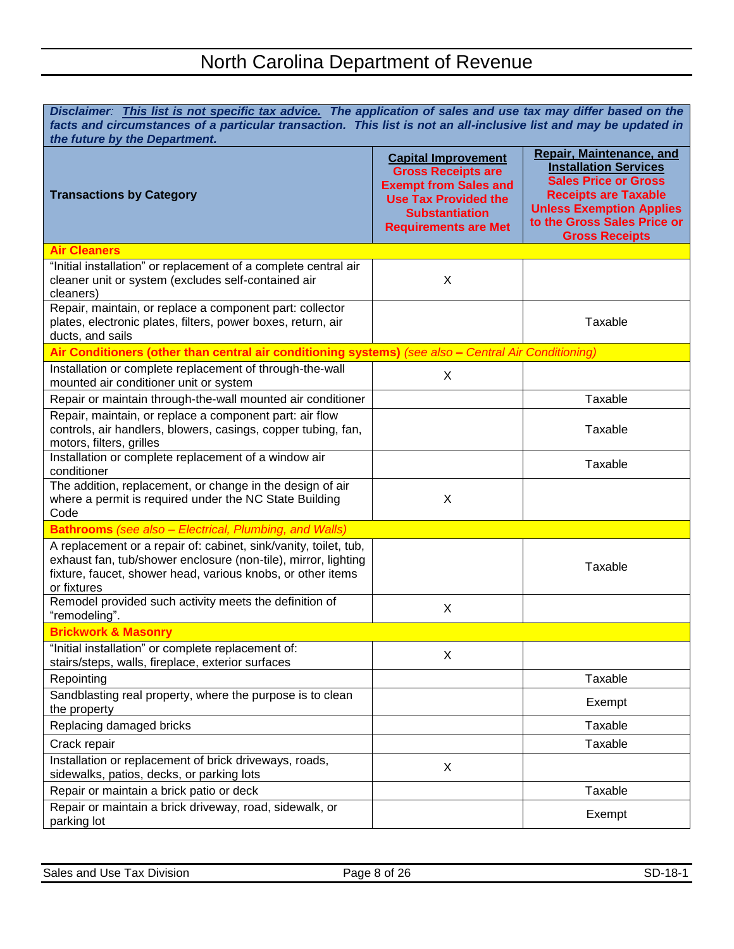| Disclaimer: <b>This list is not specific tax advice</b> . The application of sales and use tax may differ based on the<br>facts and circumstances of a particular transaction. This list is not an all-inclusive list and may be updated in<br>the future by the Department. |                                                                                                                                                                                |                                                                                                                                                                                                                          |
|------------------------------------------------------------------------------------------------------------------------------------------------------------------------------------------------------------------------------------------------------------------------------|--------------------------------------------------------------------------------------------------------------------------------------------------------------------------------|--------------------------------------------------------------------------------------------------------------------------------------------------------------------------------------------------------------------------|
| <b>Transactions by Category</b>                                                                                                                                                                                                                                              | <b>Capital Improvement</b><br><b>Gross Receipts are</b><br><b>Exempt from Sales and</b><br><b>Use Tax Provided the</b><br><b>Substantiation</b><br><b>Requirements are Met</b> | <b>Repair, Maintenance, and</b><br><b>Installation Services</b><br><b>Sales Price or Gross</b><br><b>Receipts are Taxable</b><br><b>Unless Exemption Applies</b><br>to the Gross Sales Price or<br><b>Gross Receipts</b> |
| <b>Air Cleaners</b>                                                                                                                                                                                                                                                          |                                                                                                                                                                                |                                                                                                                                                                                                                          |
| "Initial installation" or replacement of a complete central air<br>cleaner unit or system (excludes self-contained air<br>cleaners)                                                                                                                                          | X                                                                                                                                                                              |                                                                                                                                                                                                                          |
| Repair, maintain, or replace a component part: collector<br>plates, electronic plates, filters, power boxes, return, air<br>ducts, and sails                                                                                                                                 |                                                                                                                                                                                | Taxable                                                                                                                                                                                                                  |
| Air Conditioners (other than central air conditioning systems) (see also - Central Air Conditioning)                                                                                                                                                                         |                                                                                                                                                                                |                                                                                                                                                                                                                          |
| Installation or complete replacement of through-the-wall<br>mounted air conditioner unit or system                                                                                                                                                                           | X                                                                                                                                                                              |                                                                                                                                                                                                                          |
| Repair or maintain through-the-wall mounted air conditioner                                                                                                                                                                                                                  |                                                                                                                                                                                | Taxable                                                                                                                                                                                                                  |
| Repair, maintain, or replace a component part: air flow<br>controls, air handlers, blowers, casings, copper tubing, fan,<br>motors, filters, grilles                                                                                                                         |                                                                                                                                                                                | Taxable                                                                                                                                                                                                                  |
| Installation or complete replacement of a window air<br>conditioner                                                                                                                                                                                                          |                                                                                                                                                                                | Taxable                                                                                                                                                                                                                  |
| The addition, replacement, or change in the design of air<br>where a permit is required under the NC State Building<br>Code                                                                                                                                                  | X                                                                                                                                                                              |                                                                                                                                                                                                                          |
| <b>Bathrooms</b> (see also - Electrical, Plumbing, and Walls)                                                                                                                                                                                                                |                                                                                                                                                                                |                                                                                                                                                                                                                          |
| A replacement or a repair of: cabinet, sink/vanity, toilet, tub,<br>exhaust fan, tub/shower enclosure (non-tile), mirror, lighting<br>fixture, faucet, shower head, various knobs, or other items<br>or fixtures                                                             |                                                                                                                                                                                | Taxable                                                                                                                                                                                                                  |
| Remodel provided such activity meets the definition of<br>"remodeling".                                                                                                                                                                                                      | X                                                                                                                                                                              |                                                                                                                                                                                                                          |
| <b>Brickwork &amp; Masonry</b>                                                                                                                                                                                                                                               |                                                                                                                                                                                |                                                                                                                                                                                                                          |
| "Initial installation" or complete replacement of:<br>stairs/steps, walls, fireplace, exterior surfaces                                                                                                                                                                      | X                                                                                                                                                                              |                                                                                                                                                                                                                          |
| Repointing                                                                                                                                                                                                                                                                   |                                                                                                                                                                                | Taxable                                                                                                                                                                                                                  |
| Sandblasting real property, where the purpose is to clean<br>the property                                                                                                                                                                                                    |                                                                                                                                                                                | Exempt                                                                                                                                                                                                                   |
| Replacing damaged bricks                                                                                                                                                                                                                                                     |                                                                                                                                                                                | Taxable                                                                                                                                                                                                                  |
| Crack repair                                                                                                                                                                                                                                                                 |                                                                                                                                                                                | Taxable                                                                                                                                                                                                                  |
| Installation or replacement of brick driveways, roads,<br>sidewalks, patios, decks, or parking lots                                                                                                                                                                          | X                                                                                                                                                                              |                                                                                                                                                                                                                          |
| Repair or maintain a brick patio or deck                                                                                                                                                                                                                                     |                                                                                                                                                                                | Taxable                                                                                                                                                                                                                  |
| Repair or maintain a brick driveway, road, sidewalk, or<br>parking lot                                                                                                                                                                                                       |                                                                                                                                                                                | Exempt                                                                                                                                                                                                                   |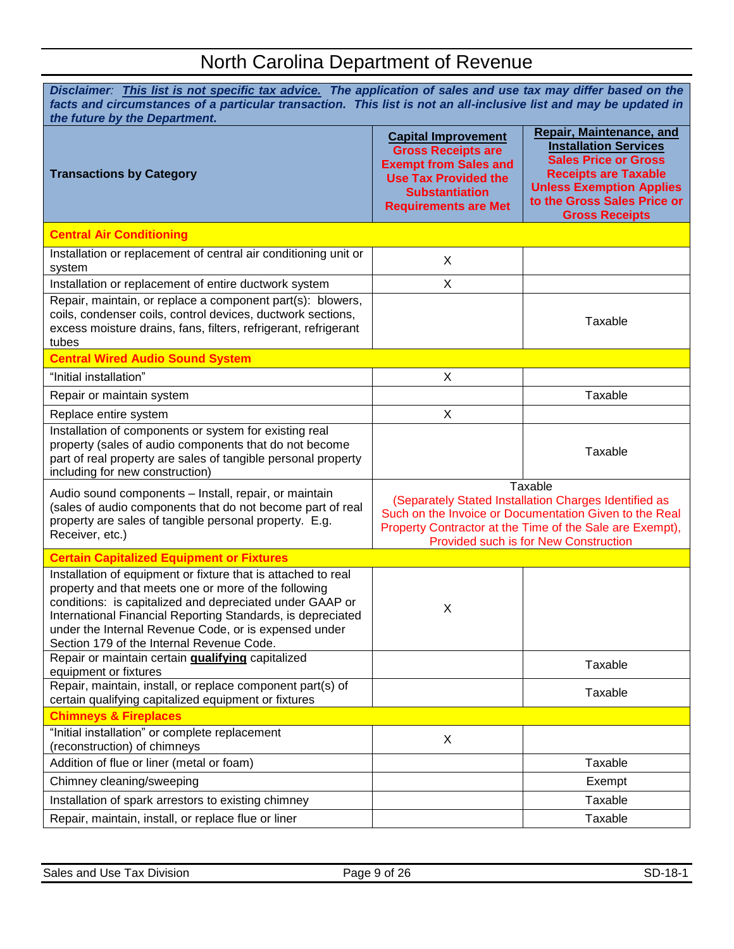| Disclaimer: <i>This list is not specific tax advice</i> . The application of sales and use tax may differ based on the                                                                                                                                                                                                                                 |                                                                                                                                                                                                                                 |                                                                                                                                                                                                                          |  |
|--------------------------------------------------------------------------------------------------------------------------------------------------------------------------------------------------------------------------------------------------------------------------------------------------------------------------------------------------------|---------------------------------------------------------------------------------------------------------------------------------------------------------------------------------------------------------------------------------|--------------------------------------------------------------------------------------------------------------------------------------------------------------------------------------------------------------------------|--|
| facts and circumstances of a particular transaction. This list is not an all-inclusive list and may be updated in                                                                                                                                                                                                                                      |                                                                                                                                                                                                                                 |                                                                                                                                                                                                                          |  |
| the future by the Department.<br><b>Transactions by Category</b>                                                                                                                                                                                                                                                                                       | <b>Capital Improvement</b><br><b>Gross Receipts are</b><br><b>Exempt from Sales and</b><br><b>Use Tax Provided the</b><br><b>Substantiation</b><br><b>Requirements are Met</b>                                                  | <b>Repair, Maintenance, and</b><br><b>Installation Services</b><br><b>Sales Price or Gross</b><br><b>Receipts are Taxable</b><br><b>Unless Exemption Applies</b><br>to the Gross Sales Price or<br><b>Gross Receipts</b> |  |
| <b>Central Air Conditioning</b>                                                                                                                                                                                                                                                                                                                        |                                                                                                                                                                                                                                 |                                                                                                                                                                                                                          |  |
| Installation or replacement of central air conditioning unit or<br>system                                                                                                                                                                                                                                                                              | X                                                                                                                                                                                                                               |                                                                                                                                                                                                                          |  |
| Installation or replacement of entire ductwork system                                                                                                                                                                                                                                                                                                  | X                                                                                                                                                                                                                               |                                                                                                                                                                                                                          |  |
| Repair, maintain, or replace a component part(s): blowers,<br>coils, condenser coils, control devices, ductwork sections,<br>excess moisture drains, fans, filters, refrigerant, refrigerant<br>tubes                                                                                                                                                  |                                                                                                                                                                                                                                 | Taxable                                                                                                                                                                                                                  |  |
| <b>Central Wired Audio Sound System</b>                                                                                                                                                                                                                                                                                                                |                                                                                                                                                                                                                                 |                                                                                                                                                                                                                          |  |
| "Initial installation"                                                                                                                                                                                                                                                                                                                                 | X                                                                                                                                                                                                                               |                                                                                                                                                                                                                          |  |
| Repair or maintain system                                                                                                                                                                                                                                                                                                                              |                                                                                                                                                                                                                                 | Taxable                                                                                                                                                                                                                  |  |
| Replace entire system                                                                                                                                                                                                                                                                                                                                  | X                                                                                                                                                                                                                               |                                                                                                                                                                                                                          |  |
| Installation of components or system for existing real<br>property (sales of audio components that do not become<br>part of real property are sales of tangible personal property<br>including for new construction)                                                                                                                                   |                                                                                                                                                                                                                                 | Taxable                                                                                                                                                                                                                  |  |
| Audio sound components - Install, repair, or maintain<br>(sales of audio components that do not become part of real<br>property are sales of tangible personal property. E.g.<br>Receiver, etc.)                                                                                                                                                       | Taxable<br>(Separately Stated Installation Charges Identified as<br>Such on the Invoice or Documentation Given to the Real<br>Property Contractor at the Time of the Sale are Exempt),<br>Provided such is for New Construction |                                                                                                                                                                                                                          |  |
| <b>Certain Capitalized Equipment or Fixtures</b>                                                                                                                                                                                                                                                                                                       |                                                                                                                                                                                                                                 |                                                                                                                                                                                                                          |  |
| Installation of equipment or fixture that is attached to real<br>property and that meets one or more of the following<br>conditions: is capitalized and depreciated under GAAP or<br>International Financial Reporting Standards, is depreciated<br>under the Internal Revenue Code, or is expensed under<br>Section 179 of the Internal Revenue Code. | X                                                                                                                                                                                                                               |                                                                                                                                                                                                                          |  |
| Repair or maintain certain <b>qualifying</b> capitalized<br>equipment or fixtures                                                                                                                                                                                                                                                                      |                                                                                                                                                                                                                                 | Taxable                                                                                                                                                                                                                  |  |
| Repair, maintain, install, or replace component part(s) of<br>certain qualifying capitalized equipment or fixtures                                                                                                                                                                                                                                     |                                                                                                                                                                                                                                 | Taxable                                                                                                                                                                                                                  |  |
| <b>Chimneys &amp; Fireplaces</b>                                                                                                                                                                                                                                                                                                                       |                                                                                                                                                                                                                                 |                                                                                                                                                                                                                          |  |
| "Initial installation" or complete replacement<br>(reconstruction) of chimneys                                                                                                                                                                                                                                                                         | X                                                                                                                                                                                                                               |                                                                                                                                                                                                                          |  |
| Addition of flue or liner (metal or foam)                                                                                                                                                                                                                                                                                                              |                                                                                                                                                                                                                                 | Taxable                                                                                                                                                                                                                  |  |
| Chimney cleaning/sweeping                                                                                                                                                                                                                                                                                                                              |                                                                                                                                                                                                                                 | Exempt                                                                                                                                                                                                                   |  |
| Installation of spark arrestors to existing chimney                                                                                                                                                                                                                                                                                                    |                                                                                                                                                                                                                                 | Taxable                                                                                                                                                                                                                  |  |
| Repair, maintain, install, or replace flue or liner                                                                                                                                                                                                                                                                                                    |                                                                                                                                                                                                                                 | Taxable                                                                                                                                                                                                                  |  |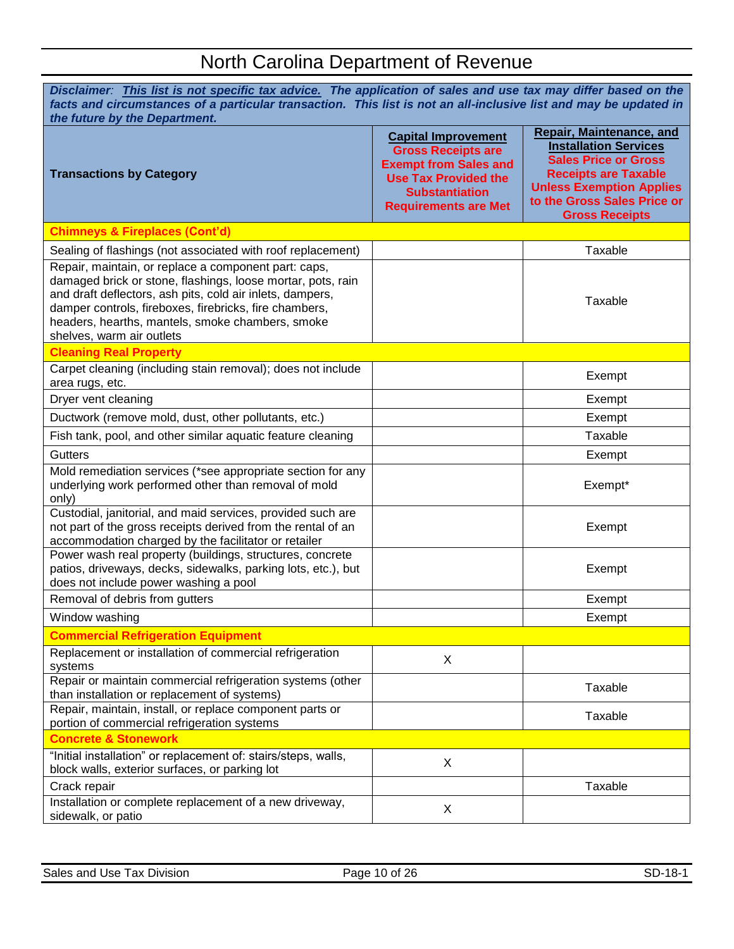| Disclaimer: <b>This list is not specific tax advice.</b> The application of sales and use tax may differ based on the                                                                                                                                                                                                       |                                                                                                                                                                                |                                                                                                                                                                                       |  |
|-----------------------------------------------------------------------------------------------------------------------------------------------------------------------------------------------------------------------------------------------------------------------------------------------------------------------------|--------------------------------------------------------------------------------------------------------------------------------------------------------------------------------|---------------------------------------------------------------------------------------------------------------------------------------------------------------------------------------|--|
| facts and circumstances of a particular transaction. This list is not an all-inclusive list and may be updated in                                                                                                                                                                                                           |                                                                                                                                                                                |                                                                                                                                                                                       |  |
| the future by the Department.<br><b>Repair, Maintenance, and</b>                                                                                                                                                                                                                                                            |                                                                                                                                                                                |                                                                                                                                                                                       |  |
| <b>Transactions by Category</b>                                                                                                                                                                                                                                                                                             | <b>Capital Improvement</b><br><b>Gross Receipts are</b><br><b>Exempt from Sales and</b><br><b>Use Tax Provided the</b><br><b>Substantiation</b><br><b>Requirements are Met</b> | <b>Installation Services</b><br><b>Sales Price or Gross</b><br><b>Receipts are Taxable</b><br><b>Unless Exemption Applies</b><br>to the Gross Sales Price or<br><b>Gross Receipts</b> |  |
| <b>Chimneys &amp; Fireplaces (Cont'd)</b>                                                                                                                                                                                                                                                                                   |                                                                                                                                                                                |                                                                                                                                                                                       |  |
| Sealing of flashings (not associated with roof replacement)                                                                                                                                                                                                                                                                 |                                                                                                                                                                                | Taxable                                                                                                                                                                               |  |
| Repair, maintain, or replace a component part: caps,<br>damaged brick or stone, flashings, loose mortar, pots, rain<br>and draft deflectors, ash pits, cold air inlets, dampers,<br>damper controls, fireboxes, firebricks, fire chambers,<br>headers, hearths, mantels, smoke chambers, smoke<br>shelves, warm air outlets |                                                                                                                                                                                | Taxable                                                                                                                                                                               |  |
| <b>Cleaning Real Property</b>                                                                                                                                                                                                                                                                                               |                                                                                                                                                                                |                                                                                                                                                                                       |  |
| Carpet cleaning (including stain removal); does not include<br>area rugs, etc.                                                                                                                                                                                                                                              |                                                                                                                                                                                | Exempt                                                                                                                                                                                |  |
| Dryer vent cleaning                                                                                                                                                                                                                                                                                                         |                                                                                                                                                                                | Exempt                                                                                                                                                                                |  |
| Ductwork (remove mold, dust, other pollutants, etc.)                                                                                                                                                                                                                                                                        |                                                                                                                                                                                | Exempt                                                                                                                                                                                |  |
| Fish tank, pool, and other similar aquatic feature cleaning                                                                                                                                                                                                                                                                 |                                                                                                                                                                                | Taxable                                                                                                                                                                               |  |
| <b>Gutters</b>                                                                                                                                                                                                                                                                                                              |                                                                                                                                                                                | Exempt                                                                                                                                                                                |  |
| Mold remediation services (*see appropriate section for any<br>underlying work performed other than removal of mold<br>only)                                                                                                                                                                                                |                                                                                                                                                                                | Exempt*                                                                                                                                                                               |  |
| Custodial, janitorial, and maid services, provided such are<br>not part of the gross receipts derived from the rental of an<br>accommodation charged by the facilitator or retailer                                                                                                                                         |                                                                                                                                                                                | Exempt                                                                                                                                                                                |  |
| Power wash real property (buildings, structures, concrete<br>patios, driveways, decks, sidewalks, parking lots, etc.), but<br>does not include power washing a pool                                                                                                                                                         |                                                                                                                                                                                | Exempt                                                                                                                                                                                |  |
| Removal of debris from gutters                                                                                                                                                                                                                                                                                              |                                                                                                                                                                                | Exempt                                                                                                                                                                                |  |
| Window washing                                                                                                                                                                                                                                                                                                              |                                                                                                                                                                                | Exempt                                                                                                                                                                                |  |
| <b>Commercial Refrigeration Equipment</b>                                                                                                                                                                                                                                                                                   |                                                                                                                                                                                |                                                                                                                                                                                       |  |
| Replacement or installation of commercial refrigeration<br>systems                                                                                                                                                                                                                                                          | X                                                                                                                                                                              |                                                                                                                                                                                       |  |
| Repair or maintain commercial refrigeration systems (other<br>than installation or replacement of systems)                                                                                                                                                                                                                  |                                                                                                                                                                                | Taxable                                                                                                                                                                               |  |
| Repair, maintain, install, or replace component parts or<br>portion of commercial refrigeration systems                                                                                                                                                                                                                     |                                                                                                                                                                                | Taxable                                                                                                                                                                               |  |
| <b>Concrete &amp; Stonework</b>                                                                                                                                                                                                                                                                                             |                                                                                                                                                                                |                                                                                                                                                                                       |  |
| "Initial installation" or replacement of: stairs/steps, walls,<br>block walls, exterior surfaces, or parking lot                                                                                                                                                                                                            | X                                                                                                                                                                              |                                                                                                                                                                                       |  |
| Crack repair                                                                                                                                                                                                                                                                                                                |                                                                                                                                                                                | Taxable                                                                                                                                                                               |  |
| Installation or complete replacement of a new driveway,<br>sidewalk, or patio                                                                                                                                                                                                                                               | X                                                                                                                                                                              |                                                                                                                                                                                       |  |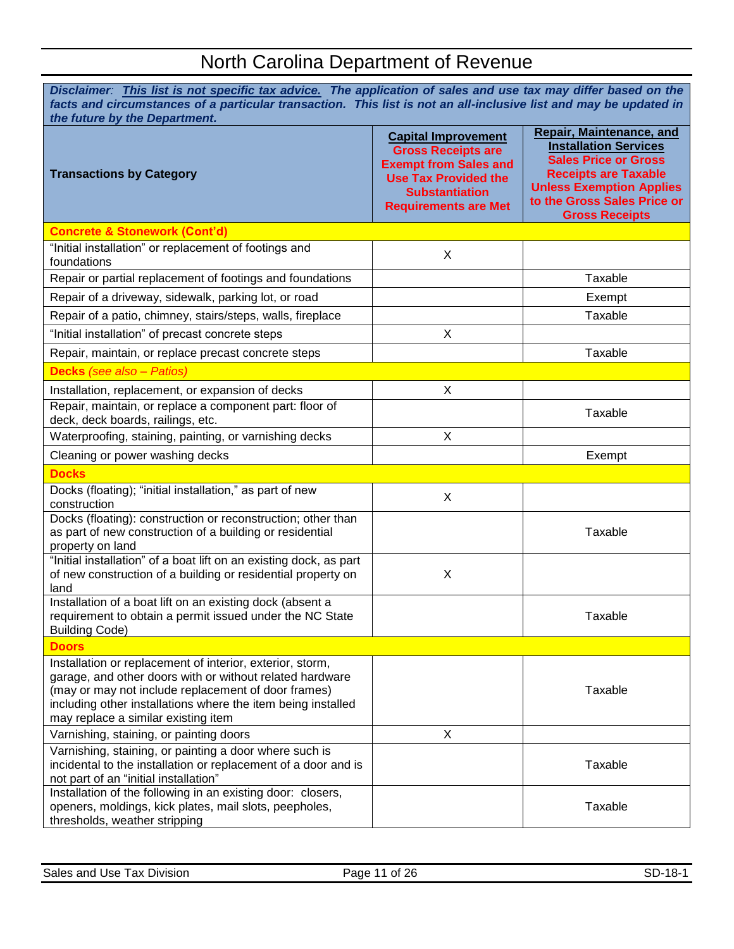| Disclaimer: This list is not specific tax advice. The application of sales and use tax may differ based on the                                                                                                                                                                      |                                                                                                                                                                                |                                                                                                                                                                                                                          |  |
|-------------------------------------------------------------------------------------------------------------------------------------------------------------------------------------------------------------------------------------------------------------------------------------|--------------------------------------------------------------------------------------------------------------------------------------------------------------------------------|--------------------------------------------------------------------------------------------------------------------------------------------------------------------------------------------------------------------------|--|
| facts and circumstances of a particular transaction. This list is not an all-inclusive list and may be updated in<br>the future by the Department.                                                                                                                                  |                                                                                                                                                                                |                                                                                                                                                                                                                          |  |
| <b>Transactions by Category</b>                                                                                                                                                                                                                                                     | <b>Capital Improvement</b><br><b>Gross Receipts are</b><br><b>Exempt from Sales and</b><br><b>Use Tax Provided the</b><br><b>Substantiation</b><br><b>Requirements are Met</b> | <b>Repair, Maintenance, and</b><br><b>Installation Services</b><br><b>Sales Price or Gross</b><br><b>Receipts are Taxable</b><br><b>Unless Exemption Applies</b><br>to the Gross Sales Price or<br><b>Gross Receipts</b> |  |
| <b>Concrete &amp; Stonework (Cont'd)</b>                                                                                                                                                                                                                                            |                                                                                                                                                                                |                                                                                                                                                                                                                          |  |
| "Initial installation" or replacement of footings and<br>foundations                                                                                                                                                                                                                | X                                                                                                                                                                              |                                                                                                                                                                                                                          |  |
| Repair or partial replacement of footings and foundations                                                                                                                                                                                                                           |                                                                                                                                                                                | Taxable                                                                                                                                                                                                                  |  |
| Repair of a driveway, sidewalk, parking lot, or road                                                                                                                                                                                                                                |                                                                                                                                                                                | Exempt                                                                                                                                                                                                                   |  |
| Repair of a patio, chimney, stairs/steps, walls, fireplace                                                                                                                                                                                                                          |                                                                                                                                                                                | Taxable                                                                                                                                                                                                                  |  |
| "Initial installation" of precast concrete steps                                                                                                                                                                                                                                    | X                                                                                                                                                                              |                                                                                                                                                                                                                          |  |
| Repair, maintain, or replace precast concrete steps                                                                                                                                                                                                                                 |                                                                                                                                                                                | Taxable                                                                                                                                                                                                                  |  |
| Decks (see also - Patios)                                                                                                                                                                                                                                                           |                                                                                                                                                                                |                                                                                                                                                                                                                          |  |
| Installation, replacement, or expansion of decks                                                                                                                                                                                                                                    | X                                                                                                                                                                              |                                                                                                                                                                                                                          |  |
| Repair, maintain, or replace a component part: floor of<br>deck, deck boards, railings, etc.                                                                                                                                                                                        |                                                                                                                                                                                | Taxable                                                                                                                                                                                                                  |  |
| Waterproofing, staining, painting, or varnishing decks                                                                                                                                                                                                                              | X                                                                                                                                                                              |                                                                                                                                                                                                                          |  |
| Cleaning or power washing decks                                                                                                                                                                                                                                                     |                                                                                                                                                                                | Exempt                                                                                                                                                                                                                   |  |
| <b>Docks</b>                                                                                                                                                                                                                                                                        |                                                                                                                                                                                |                                                                                                                                                                                                                          |  |
| Docks (floating); "initial installation," as part of new<br>construction                                                                                                                                                                                                            | X                                                                                                                                                                              |                                                                                                                                                                                                                          |  |
| Docks (floating): construction or reconstruction; other than<br>as part of new construction of a building or residential<br>property on land                                                                                                                                        |                                                                                                                                                                                | Taxable                                                                                                                                                                                                                  |  |
| "Initial installation" of a boat lift on an existing dock, as part<br>of new construction of a building or residential property on<br>land                                                                                                                                          | X                                                                                                                                                                              |                                                                                                                                                                                                                          |  |
| Installation of a boat lift on an existing dock (absent a<br>requirement to obtain a permit issued under the NC State<br><b>Building Code)</b>                                                                                                                                      |                                                                                                                                                                                | Taxable                                                                                                                                                                                                                  |  |
| <b>Doors</b>                                                                                                                                                                                                                                                                        |                                                                                                                                                                                |                                                                                                                                                                                                                          |  |
| Installation or replacement of interior, exterior, storm,<br>garage, and other doors with or without related hardware<br>(may or may not include replacement of door frames)<br>including other installations where the item being installed<br>may replace a similar existing item |                                                                                                                                                                                | Taxable                                                                                                                                                                                                                  |  |
| Varnishing, staining, or painting doors                                                                                                                                                                                                                                             | X                                                                                                                                                                              |                                                                                                                                                                                                                          |  |
| Varnishing, staining, or painting a door where such is<br>incidental to the installation or replacement of a door and is<br>not part of an "initial installation"                                                                                                                   |                                                                                                                                                                                | Taxable                                                                                                                                                                                                                  |  |
| Installation of the following in an existing door: closers,<br>openers, moldings, kick plates, mail slots, peepholes,<br>thresholds, weather stripping                                                                                                                              |                                                                                                                                                                                | Taxable                                                                                                                                                                                                                  |  |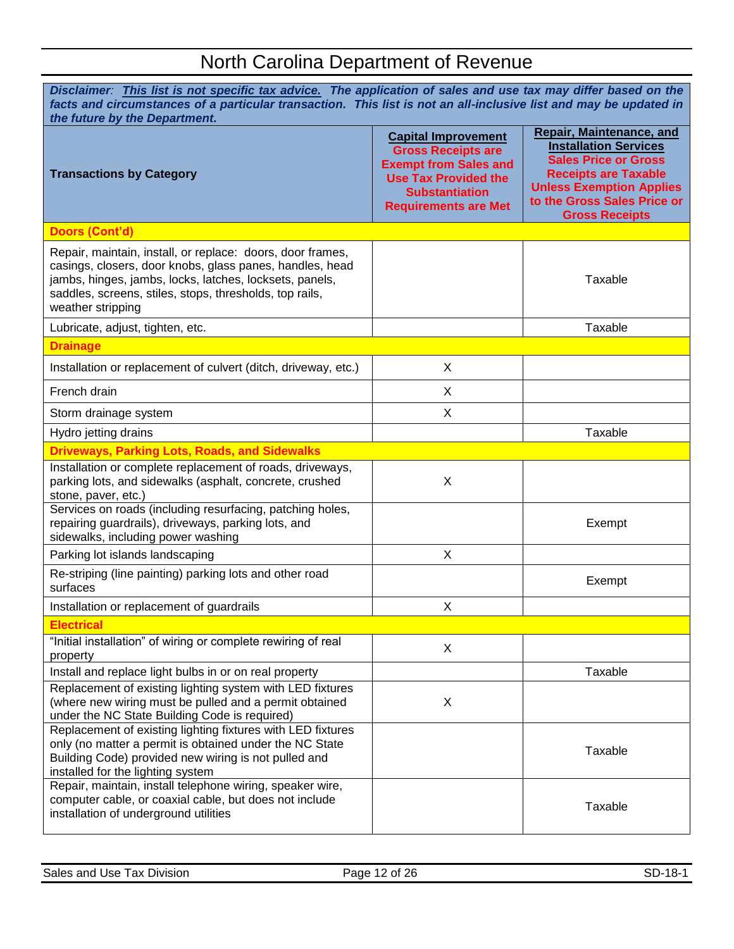| Disclaimer: This list is not specific tax advice. The application of sales and use tax may differ based on the                                                                                                                                                    |                                                                                                                                                                                |                                                                                                                                                                                                                          |
|-------------------------------------------------------------------------------------------------------------------------------------------------------------------------------------------------------------------------------------------------------------------|--------------------------------------------------------------------------------------------------------------------------------------------------------------------------------|--------------------------------------------------------------------------------------------------------------------------------------------------------------------------------------------------------------------------|
| facts and circumstances of a particular transaction. This list is not an all-inclusive list and may be updated in<br>the future by the Department.                                                                                                                |                                                                                                                                                                                |                                                                                                                                                                                                                          |
| <b>Transactions by Category</b>                                                                                                                                                                                                                                   | <b>Capital Improvement</b><br><b>Gross Receipts are</b><br><b>Exempt from Sales and</b><br><b>Use Tax Provided the</b><br><b>Substantiation</b><br><b>Requirements are Met</b> | <b>Repair, Maintenance, and</b><br><b>Installation Services</b><br><b>Sales Price or Gross</b><br><b>Receipts are Taxable</b><br><b>Unless Exemption Applies</b><br>to the Gross Sales Price or<br><b>Gross Receipts</b> |
| Doors (Cont'd)                                                                                                                                                                                                                                                    |                                                                                                                                                                                |                                                                                                                                                                                                                          |
| Repair, maintain, install, or replace: doors, door frames,<br>casings, closers, door knobs, glass panes, handles, head<br>jambs, hinges, jambs, locks, latches, locksets, panels,<br>saddles, screens, stiles, stops, thresholds, top rails,<br>weather stripping |                                                                                                                                                                                | Taxable                                                                                                                                                                                                                  |
| Lubricate, adjust, tighten, etc.                                                                                                                                                                                                                                  |                                                                                                                                                                                | Taxable                                                                                                                                                                                                                  |
| <b>Drainage</b>                                                                                                                                                                                                                                                   |                                                                                                                                                                                |                                                                                                                                                                                                                          |
| Installation or replacement of culvert (ditch, driveway, etc.)                                                                                                                                                                                                    | X                                                                                                                                                                              |                                                                                                                                                                                                                          |
| French drain                                                                                                                                                                                                                                                      | X                                                                                                                                                                              |                                                                                                                                                                                                                          |
| Storm drainage system                                                                                                                                                                                                                                             | X                                                                                                                                                                              |                                                                                                                                                                                                                          |
| Hydro jetting drains                                                                                                                                                                                                                                              |                                                                                                                                                                                | Taxable                                                                                                                                                                                                                  |
| <b>Driveways, Parking Lots, Roads, and Sidewalks</b>                                                                                                                                                                                                              |                                                                                                                                                                                |                                                                                                                                                                                                                          |
| Installation or complete replacement of roads, driveways,<br>parking lots, and sidewalks (asphalt, concrete, crushed<br>stone, paver, etc.)                                                                                                                       | X                                                                                                                                                                              |                                                                                                                                                                                                                          |
| Services on roads (including resurfacing, patching holes,<br>repairing guardrails), driveways, parking lots, and<br>sidewalks, including power washing                                                                                                            |                                                                                                                                                                                | Exempt                                                                                                                                                                                                                   |
| Parking lot islands landscaping                                                                                                                                                                                                                                   | X                                                                                                                                                                              |                                                                                                                                                                                                                          |
| Re-striping (line painting) parking lots and other road<br>surfaces                                                                                                                                                                                               |                                                                                                                                                                                | Exempt                                                                                                                                                                                                                   |
| Installation or replacement of guardrails                                                                                                                                                                                                                         | X                                                                                                                                                                              |                                                                                                                                                                                                                          |
| <b>Electrical</b>                                                                                                                                                                                                                                                 |                                                                                                                                                                                |                                                                                                                                                                                                                          |
| "Initial installation" of wiring or complete rewiring of real<br>property                                                                                                                                                                                         | X                                                                                                                                                                              |                                                                                                                                                                                                                          |
| Install and replace light bulbs in or on real property                                                                                                                                                                                                            |                                                                                                                                                                                | Taxable                                                                                                                                                                                                                  |
| Replacement of existing lighting system with LED fixtures<br>(where new wiring must be pulled and a permit obtained<br>under the NC State Building Code is required)                                                                                              | X                                                                                                                                                                              |                                                                                                                                                                                                                          |
| Replacement of existing lighting fixtures with LED fixtures<br>only (no matter a permit is obtained under the NC State<br>Building Code) provided new wiring is not pulled and<br>installed for the lighting system                                               |                                                                                                                                                                                | Taxable                                                                                                                                                                                                                  |
| Repair, maintain, install telephone wiring, speaker wire,<br>computer cable, or coaxial cable, but does not include<br>installation of underground utilities                                                                                                      |                                                                                                                                                                                | Taxable                                                                                                                                                                                                                  |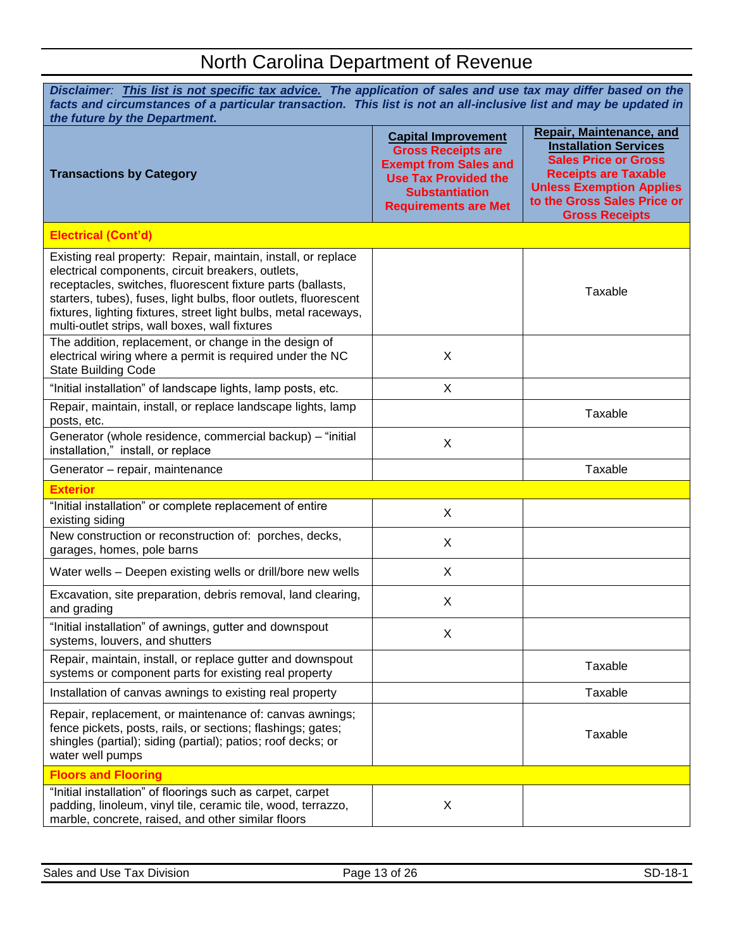| Disclaimer: <b>This list is not specific tax advice.</b> The application of sales and use tax may differ based on the                                                                                                                                                                                                                                                       |                                                                                                                                                                                |                                                                                                                                                                                                                          |  |
|-----------------------------------------------------------------------------------------------------------------------------------------------------------------------------------------------------------------------------------------------------------------------------------------------------------------------------------------------------------------------------|--------------------------------------------------------------------------------------------------------------------------------------------------------------------------------|--------------------------------------------------------------------------------------------------------------------------------------------------------------------------------------------------------------------------|--|
| facts and circumstances of a particular transaction. This list is not an all-inclusive list and may be updated in<br>the future by the Department.                                                                                                                                                                                                                          |                                                                                                                                                                                |                                                                                                                                                                                                                          |  |
| <b>Transactions by Category</b>                                                                                                                                                                                                                                                                                                                                             | <b>Capital Improvement</b><br><b>Gross Receipts are</b><br><b>Exempt from Sales and</b><br><b>Use Tax Provided the</b><br><b>Substantiation</b><br><b>Requirements are Met</b> | <b>Repair, Maintenance, and</b><br><b>Installation Services</b><br><b>Sales Price or Gross</b><br><b>Receipts are Taxable</b><br><b>Unless Exemption Applies</b><br>to the Gross Sales Price or<br><b>Gross Receipts</b> |  |
| Electrical (Cont'd)                                                                                                                                                                                                                                                                                                                                                         |                                                                                                                                                                                |                                                                                                                                                                                                                          |  |
| Existing real property: Repair, maintain, install, or replace<br>electrical components, circuit breakers, outlets,<br>receptacles, switches, fluorescent fixture parts (ballasts,<br>starters, tubes), fuses, light bulbs, floor outlets, fluorescent<br>fixtures, lighting fixtures, street light bulbs, metal raceways,<br>multi-outlet strips, wall boxes, wall fixtures |                                                                                                                                                                                | Taxable                                                                                                                                                                                                                  |  |
| The addition, replacement, or change in the design of<br>electrical wiring where a permit is required under the NC<br><b>State Building Code</b>                                                                                                                                                                                                                            | X                                                                                                                                                                              |                                                                                                                                                                                                                          |  |
| "Initial installation" of landscape lights, lamp posts, etc.                                                                                                                                                                                                                                                                                                                | X                                                                                                                                                                              |                                                                                                                                                                                                                          |  |
| Repair, maintain, install, or replace landscape lights, lamp<br>posts, etc.                                                                                                                                                                                                                                                                                                 |                                                                                                                                                                                | Taxable                                                                                                                                                                                                                  |  |
| Generator (whole residence, commercial backup) - "initial<br>installation," install, or replace                                                                                                                                                                                                                                                                             | X                                                                                                                                                                              |                                                                                                                                                                                                                          |  |
| Generator - repair, maintenance                                                                                                                                                                                                                                                                                                                                             |                                                                                                                                                                                | Taxable                                                                                                                                                                                                                  |  |
| <b>Exterior</b>                                                                                                                                                                                                                                                                                                                                                             |                                                                                                                                                                                |                                                                                                                                                                                                                          |  |
| "Initial installation" or complete replacement of entire<br>existing siding                                                                                                                                                                                                                                                                                                 | X                                                                                                                                                                              |                                                                                                                                                                                                                          |  |
| New construction or reconstruction of: porches, decks,<br>garages, homes, pole barns                                                                                                                                                                                                                                                                                        | X                                                                                                                                                                              |                                                                                                                                                                                                                          |  |
| Water wells - Deepen existing wells or drill/bore new wells                                                                                                                                                                                                                                                                                                                 | X                                                                                                                                                                              |                                                                                                                                                                                                                          |  |
| Excavation, site preparation, debris removal, land clearing,<br>and grading                                                                                                                                                                                                                                                                                                 | X                                                                                                                                                                              |                                                                                                                                                                                                                          |  |
| "Initial installation" of awnings, gutter and downspout<br>systems, louvers, and shutters                                                                                                                                                                                                                                                                                   | X                                                                                                                                                                              |                                                                                                                                                                                                                          |  |
| Repair, maintain, install, or replace gutter and downspout<br>systems or component parts for existing real property                                                                                                                                                                                                                                                         |                                                                                                                                                                                | Taxable                                                                                                                                                                                                                  |  |
| Installation of canvas awnings to existing real property                                                                                                                                                                                                                                                                                                                    |                                                                                                                                                                                | Taxable                                                                                                                                                                                                                  |  |
| Repair, replacement, or maintenance of: canvas awnings;<br>fence pickets, posts, rails, or sections; flashings; gates;<br>shingles (partial); siding (partial); patios; roof decks; or<br>water well pumps                                                                                                                                                                  |                                                                                                                                                                                | Taxable                                                                                                                                                                                                                  |  |
| <b>Floors and Flooring</b>                                                                                                                                                                                                                                                                                                                                                  |                                                                                                                                                                                |                                                                                                                                                                                                                          |  |
| "Initial installation" of floorings such as carpet, carpet<br>padding, linoleum, vinyl tile, ceramic tile, wood, terrazzo,<br>marble, concrete, raised, and other similar floors                                                                                                                                                                                            | X                                                                                                                                                                              |                                                                                                                                                                                                                          |  |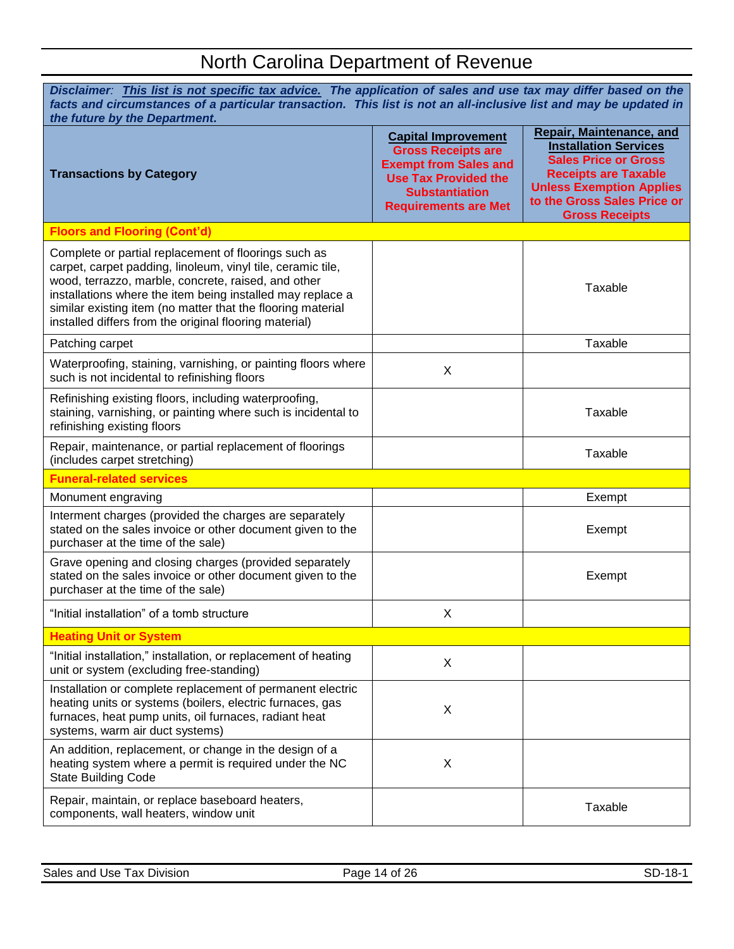| Disclaimer: <i>This list is not specific tax advice</i> . The application of sales and use tax may differ based on the                                                                                                                                                                                                                                            |                                                                                                                                                                                |                                                                                                                                                                                                                          |
|-------------------------------------------------------------------------------------------------------------------------------------------------------------------------------------------------------------------------------------------------------------------------------------------------------------------------------------------------------------------|--------------------------------------------------------------------------------------------------------------------------------------------------------------------------------|--------------------------------------------------------------------------------------------------------------------------------------------------------------------------------------------------------------------------|
| facts and circumstances of a particular transaction. This list is not an all-inclusive list and may be updated in<br>the future by the Department.                                                                                                                                                                                                                |                                                                                                                                                                                |                                                                                                                                                                                                                          |
| <b>Transactions by Category</b>                                                                                                                                                                                                                                                                                                                                   | <b>Capital Improvement</b><br><b>Gross Receipts are</b><br><b>Exempt from Sales and</b><br><b>Use Tax Provided the</b><br><b>Substantiation</b><br><b>Requirements are Met</b> | <b>Repair, Maintenance, and</b><br><b>Installation Services</b><br><b>Sales Price or Gross</b><br><b>Receipts are Taxable</b><br><b>Unless Exemption Applies</b><br>to the Gross Sales Price or<br><b>Gross Receipts</b> |
| <b>Floors and Flooring (Cont'd)</b>                                                                                                                                                                                                                                                                                                                               |                                                                                                                                                                                |                                                                                                                                                                                                                          |
| Complete or partial replacement of floorings such as<br>carpet, carpet padding, linoleum, vinyl tile, ceramic tile,<br>wood, terrazzo, marble, concrete, raised, and other<br>installations where the item being installed may replace a<br>similar existing item (no matter that the flooring material<br>installed differs from the original flooring material) |                                                                                                                                                                                | Taxable                                                                                                                                                                                                                  |
| Patching carpet                                                                                                                                                                                                                                                                                                                                                   |                                                                                                                                                                                | Taxable                                                                                                                                                                                                                  |
| Waterproofing, staining, varnishing, or painting floors where<br>such is not incidental to refinishing floors                                                                                                                                                                                                                                                     | X                                                                                                                                                                              |                                                                                                                                                                                                                          |
| Refinishing existing floors, including waterproofing,<br>staining, varnishing, or painting where such is incidental to<br>refinishing existing floors                                                                                                                                                                                                             |                                                                                                                                                                                | Taxable                                                                                                                                                                                                                  |
| Repair, maintenance, or partial replacement of floorings<br>(includes carpet stretching)                                                                                                                                                                                                                                                                          |                                                                                                                                                                                | Taxable                                                                                                                                                                                                                  |
| <b>Funeral-related services</b>                                                                                                                                                                                                                                                                                                                                   |                                                                                                                                                                                |                                                                                                                                                                                                                          |
| Monument engraving                                                                                                                                                                                                                                                                                                                                                |                                                                                                                                                                                | Exempt                                                                                                                                                                                                                   |
| Interment charges (provided the charges are separately<br>stated on the sales invoice or other document given to the<br>purchaser at the time of the sale)                                                                                                                                                                                                        |                                                                                                                                                                                | Exempt                                                                                                                                                                                                                   |
| Grave opening and closing charges (provided separately<br>stated on the sales invoice or other document given to the<br>purchaser at the time of the sale)                                                                                                                                                                                                        |                                                                                                                                                                                | Exempt                                                                                                                                                                                                                   |
| "Initial installation" of a tomb structure                                                                                                                                                                                                                                                                                                                        | X                                                                                                                                                                              |                                                                                                                                                                                                                          |
| <b>Heating Unit or System</b>                                                                                                                                                                                                                                                                                                                                     |                                                                                                                                                                                |                                                                                                                                                                                                                          |
| "Initial installation," installation, or replacement of heating<br>unit or system (excluding free-standing)                                                                                                                                                                                                                                                       | X                                                                                                                                                                              |                                                                                                                                                                                                                          |
| Installation or complete replacement of permanent electric<br>heating units or systems (boilers, electric furnaces, gas<br>furnaces, heat pump units, oil furnaces, radiant heat<br>systems, warm air duct systems)                                                                                                                                               | X                                                                                                                                                                              |                                                                                                                                                                                                                          |
| An addition, replacement, or change in the design of a<br>heating system where a permit is required under the NC<br><b>State Building Code</b>                                                                                                                                                                                                                    | X                                                                                                                                                                              |                                                                                                                                                                                                                          |
| Repair, maintain, or replace baseboard heaters,<br>components, wall heaters, window unit                                                                                                                                                                                                                                                                          |                                                                                                                                                                                | Taxable                                                                                                                                                                                                                  |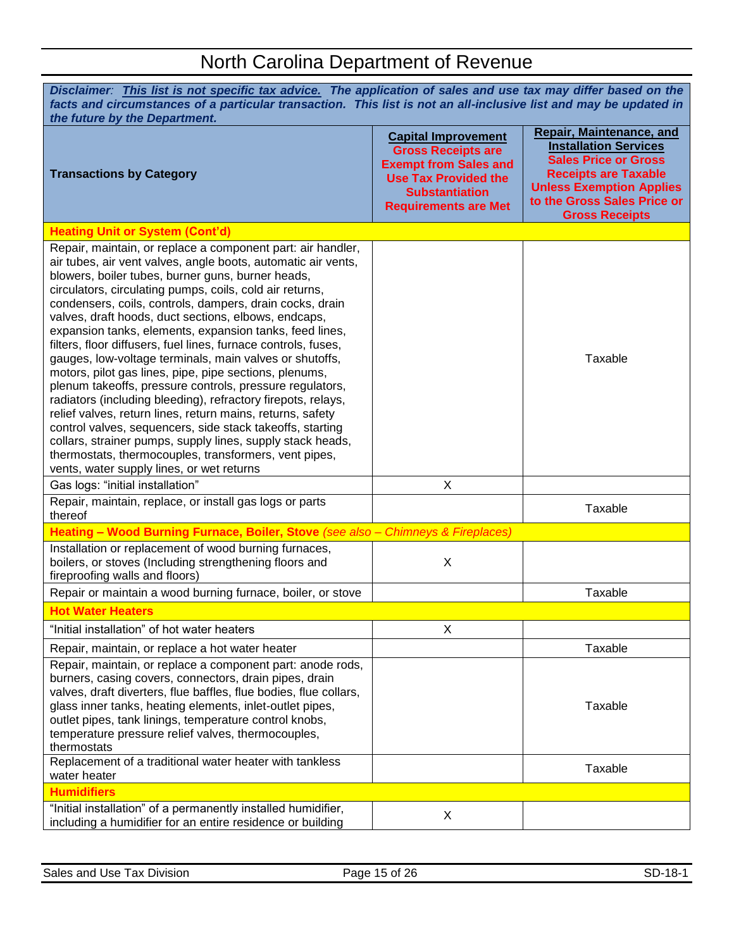| Disclaimer: <i>This list is not specific tax advice</i> . The application of sales and use tax may differ based on the                                                                                                                                                                                                                                                                                                                                                                                                                                                                                                                                                                                                                                                                                                                                                                                                                                                                                                                         |                                                                                                                                                                                |                                                                                                                                                                                                                          |  |
|------------------------------------------------------------------------------------------------------------------------------------------------------------------------------------------------------------------------------------------------------------------------------------------------------------------------------------------------------------------------------------------------------------------------------------------------------------------------------------------------------------------------------------------------------------------------------------------------------------------------------------------------------------------------------------------------------------------------------------------------------------------------------------------------------------------------------------------------------------------------------------------------------------------------------------------------------------------------------------------------------------------------------------------------|--------------------------------------------------------------------------------------------------------------------------------------------------------------------------------|--------------------------------------------------------------------------------------------------------------------------------------------------------------------------------------------------------------------------|--|
| facts and circumstances of a particular transaction. This list is not an all-inclusive list and may be updated in                                                                                                                                                                                                                                                                                                                                                                                                                                                                                                                                                                                                                                                                                                                                                                                                                                                                                                                              |                                                                                                                                                                                |                                                                                                                                                                                                                          |  |
| the future by the Department.<br><b>Transactions by Category</b>                                                                                                                                                                                                                                                                                                                                                                                                                                                                                                                                                                                                                                                                                                                                                                                                                                                                                                                                                                               | <b>Capital Improvement</b><br><b>Gross Receipts are</b><br><b>Exempt from Sales and</b><br><b>Use Tax Provided the</b><br><b>Substantiation</b><br><b>Requirements are Met</b> | <b>Repair, Maintenance, and</b><br><b>Installation Services</b><br><b>Sales Price or Gross</b><br><b>Receipts are Taxable</b><br><b>Unless Exemption Applies</b><br>to the Gross Sales Price or<br><b>Gross Receipts</b> |  |
| <b>Heating Unit or System (Cont'd)</b>                                                                                                                                                                                                                                                                                                                                                                                                                                                                                                                                                                                                                                                                                                                                                                                                                                                                                                                                                                                                         |                                                                                                                                                                                |                                                                                                                                                                                                                          |  |
| Repair, maintain, or replace a component part: air handler,<br>air tubes, air vent valves, angle boots, automatic air vents,<br>blowers, boiler tubes, burner guns, burner heads,<br>circulators, circulating pumps, coils, cold air returns,<br>condensers, coils, controls, dampers, drain cocks, drain<br>valves, draft hoods, duct sections, elbows, endcaps,<br>expansion tanks, elements, expansion tanks, feed lines,<br>filters, floor diffusers, fuel lines, furnace controls, fuses,<br>gauges, low-voltage terminals, main valves or shutoffs,<br>motors, pilot gas lines, pipe, pipe sections, plenums,<br>plenum takeoffs, pressure controls, pressure regulators,<br>radiators (including bleeding), refractory firepots, relays,<br>relief valves, return lines, return mains, returns, safety<br>control valves, sequencers, side stack takeoffs, starting<br>collars, strainer pumps, supply lines, supply stack heads,<br>thermostats, thermocouples, transformers, vent pipes,<br>vents, water supply lines, or wet returns |                                                                                                                                                                                | Taxable                                                                                                                                                                                                                  |  |
| Gas logs: "initial installation"                                                                                                                                                                                                                                                                                                                                                                                                                                                                                                                                                                                                                                                                                                                                                                                                                                                                                                                                                                                                               | X                                                                                                                                                                              |                                                                                                                                                                                                                          |  |
| Repair, maintain, replace, or install gas logs or parts<br>thereof                                                                                                                                                                                                                                                                                                                                                                                                                                                                                                                                                                                                                                                                                                                                                                                                                                                                                                                                                                             |                                                                                                                                                                                | Taxable                                                                                                                                                                                                                  |  |
| Heating - Wood Burning Furnace, Boiler, Stove (see also - Chimneys & Fireplaces)                                                                                                                                                                                                                                                                                                                                                                                                                                                                                                                                                                                                                                                                                                                                                                                                                                                                                                                                                               |                                                                                                                                                                                |                                                                                                                                                                                                                          |  |
| Installation or replacement of wood burning furnaces,<br>boilers, or stoves (Including strengthening floors and<br>fireproofing walls and floors)                                                                                                                                                                                                                                                                                                                                                                                                                                                                                                                                                                                                                                                                                                                                                                                                                                                                                              | X                                                                                                                                                                              |                                                                                                                                                                                                                          |  |
| Repair or maintain a wood burning furnace, boiler, or stove                                                                                                                                                                                                                                                                                                                                                                                                                                                                                                                                                                                                                                                                                                                                                                                                                                                                                                                                                                                    |                                                                                                                                                                                | Taxable                                                                                                                                                                                                                  |  |
| <b>Hot Water Heaters</b>                                                                                                                                                                                                                                                                                                                                                                                                                                                                                                                                                                                                                                                                                                                                                                                                                                                                                                                                                                                                                       |                                                                                                                                                                                |                                                                                                                                                                                                                          |  |
| "Initial installation" of hot water heaters                                                                                                                                                                                                                                                                                                                                                                                                                                                                                                                                                                                                                                                                                                                                                                                                                                                                                                                                                                                                    | X                                                                                                                                                                              |                                                                                                                                                                                                                          |  |
| Repair, maintain, or replace a hot water heater                                                                                                                                                                                                                                                                                                                                                                                                                                                                                                                                                                                                                                                                                                                                                                                                                                                                                                                                                                                                |                                                                                                                                                                                | Taxable                                                                                                                                                                                                                  |  |
| Repair, maintain, or replace a component part: anode rods,<br>burners, casing covers, connectors, drain pipes, drain<br>valves, draft diverters, flue baffles, flue bodies, flue collars,<br>glass inner tanks, heating elements, inlet-outlet pipes,<br>outlet pipes, tank linings, temperature control knobs,<br>temperature pressure relief valves, thermocouples,<br>thermostats                                                                                                                                                                                                                                                                                                                                                                                                                                                                                                                                                                                                                                                           |                                                                                                                                                                                | Taxable                                                                                                                                                                                                                  |  |
| Replacement of a traditional water heater with tankless<br>water heater                                                                                                                                                                                                                                                                                                                                                                                                                                                                                                                                                                                                                                                                                                                                                                                                                                                                                                                                                                        |                                                                                                                                                                                | Taxable                                                                                                                                                                                                                  |  |
| <b>Humidifiers</b>                                                                                                                                                                                                                                                                                                                                                                                                                                                                                                                                                                                                                                                                                                                                                                                                                                                                                                                                                                                                                             |                                                                                                                                                                                |                                                                                                                                                                                                                          |  |
| "Initial installation" of a permanently installed humidifier,<br>including a humidifier for an entire residence or building                                                                                                                                                                                                                                                                                                                                                                                                                                                                                                                                                                                                                                                                                                                                                                                                                                                                                                                    | X                                                                                                                                                                              |                                                                                                                                                                                                                          |  |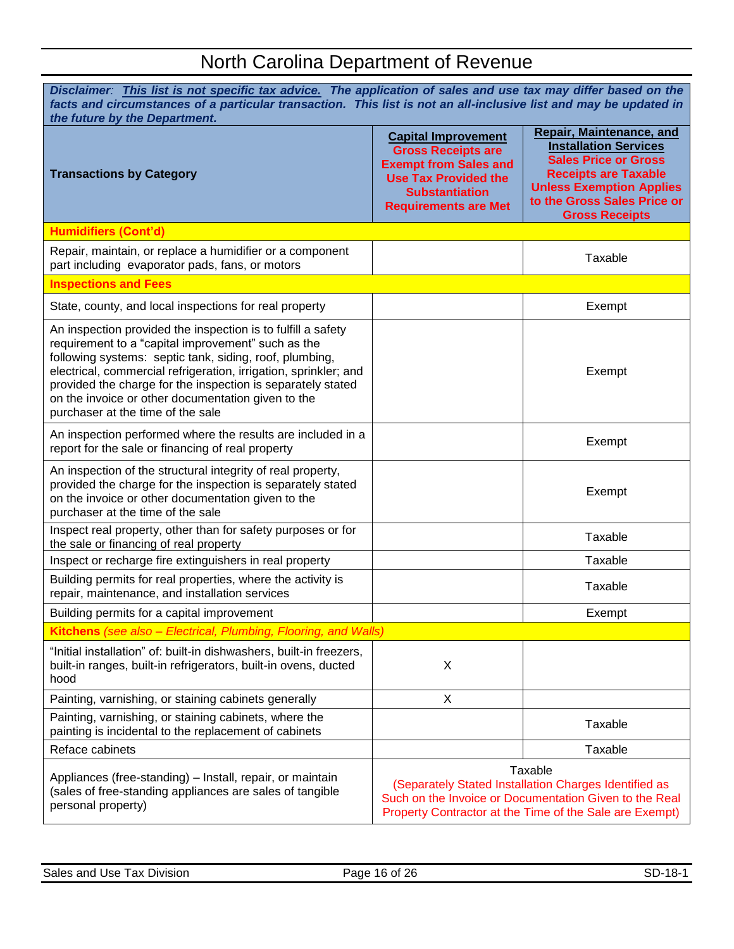| Disclaimer: This list is not specific tax advice. The application of sales and use tax may differ based on the<br>facts and circumstances of a particular transaction. This list is not an all-inclusive list and may be updated in<br>the future by the Department.                                                                                                                                        |                                                                                                                                                                                |                                                                                                                                                                                                                          |  |
|-------------------------------------------------------------------------------------------------------------------------------------------------------------------------------------------------------------------------------------------------------------------------------------------------------------------------------------------------------------------------------------------------------------|--------------------------------------------------------------------------------------------------------------------------------------------------------------------------------|--------------------------------------------------------------------------------------------------------------------------------------------------------------------------------------------------------------------------|--|
| <b>Transactions by Category</b>                                                                                                                                                                                                                                                                                                                                                                             | <b>Capital Improvement</b><br><b>Gross Receipts are</b><br><b>Exempt from Sales and</b><br><b>Use Tax Provided the</b><br><b>Substantiation</b><br><b>Requirements are Met</b> | <b>Repair, Maintenance, and</b><br><b>Installation Services</b><br><b>Sales Price or Gross</b><br><b>Receipts are Taxable</b><br><b>Unless Exemption Applies</b><br>to the Gross Sales Price or<br><b>Gross Receipts</b> |  |
| <b>Humidifiers (Cont'd)</b>                                                                                                                                                                                                                                                                                                                                                                                 |                                                                                                                                                                                |                                                                                                                                                                                                                          |  |
| Repair, maintain, or replace a humidifier or a component<br>part including evaporator pads, fans, or motors                                                                                                                                                                                                                                                                                                 |                                                                                                                                                                                | Taxable                                                                                                                                                                                                                  |  |
| <b>Inspections and Fees</b>                                                                                                                                                                                                                                                                                                                                                                                 |                                                                                                                                                                                |                                                                                                                                                                                                                          |  |
| State, county, and local inspections for real property                                                                                                                                                                                                                                                                                                                                                      |                                                                                                                                                                                | Exempt                                                                                                                                                                                                                   |  |
| An inspection provided the inspection is to fulfill a safety<br>requirement to a "capital improvement" such as the<br>following systems: septic tank, siding, roof, plumbing,<br>electrical, commercial refrigeration, irrigation, sprinkler; and<br>provided the charge for the inspection is separately stated<br>on the invoice or other documentation given to the<br>purchaser at the time of the sale |                                                                                                                                                                                | Exempt                                                                                                                                                                                                                   |  |
| An inspection performed where the results are included in a<br>report for the sale or financing of real property                                                                                                                                                                                                                                                                                            |                                                                                                                                                                                | Exempt                                                                                                                                                                                                                   |  |
| An inspection of the structural integrity of real property,<br>provided the charge for the inspection is separately stated<br>on the invoice or other documentation given to the<br>purchaser at the time of the sale                                                                                                                                                                                       |                                                                                                                                                                                | Exempt                                                                                                                                                                                                                   |  |
| Inspect real property, other than for safety purposes or for<br>the sale or financing of real property                                                                                                                                                                                                                                                                                                      |                                                                                                                                                                                | Taxable                                                                                                                                                                                                                  |  |
| Inspect or recharge fire extinguishers in real property                                                                                                                                                                                                                                                                                                                                                     |                                                                                                                                                                                | Taxable                                                                                                                                                                                                                  |  |
| Building permits for real properties, where the activity is<br>repair, maintenance, and installation services                                                                                                                                                                                                                                                                                               |                                                                                                                                                                                | Taxable                                                                                                                                                                                                                  |  |
| Building permits for a capital improvement                                                                                                                                                                                                                                                                                                                                                                  |                                                                                                                                                                                | Exempt                                                                                                                                                                                                                   |  |
| Kitchens (see also - Electrical, Plumbing, Flooring, and Walls)                                                                                                                                                                                                                                                                                                                                             |                                                                                                                                                                                |                                                                                                                                                                                                                          |  |
| "Initial installation" of: built-in dishwashers, built-in freezers,<br>built-in ranges, built-in refrigerators, built-in ovens, ducted<br>hood                                                                                                                                                                                                                                                              | X                                                                                                                                                                              |                                                                                                                                                                                                                          |  |
| Painting, varnishing, or staining cabinets generally                                                                                                                                                                                                                                                                                                                                                        | X                                                                                                                                                                              |                                                                                                                                                                                                                          |  |
| Painting, varnishing, or staining cabinets, where the<br>painting is incidental to the replacement of cabinets                                                                                                                                                                                                                                                                                              |                                                                                                                                                                                | Taxable                                                                                                                                                                                                                  |  |
| Reface cabinets                                                                                                                                                                                                                                                                                                                                                                                             |                                                                                                                                                                                | Taxable                                                                                                                                                                                                                  |  |
| Appliances (free-standing) - Install, repair, or maintain<br>(sales of free-standing appliances are sales of tangible<br>personal property)                                                                                                                                                                                                                                                                 |                                                                                                                                                                                | Taxable<br>(Separately Stated Installation Charges Identified as<br>Such on the Invoice or Documentation Given to the Real<br>Property Contractor at the Time of the Sale are Exempt)                                    |  |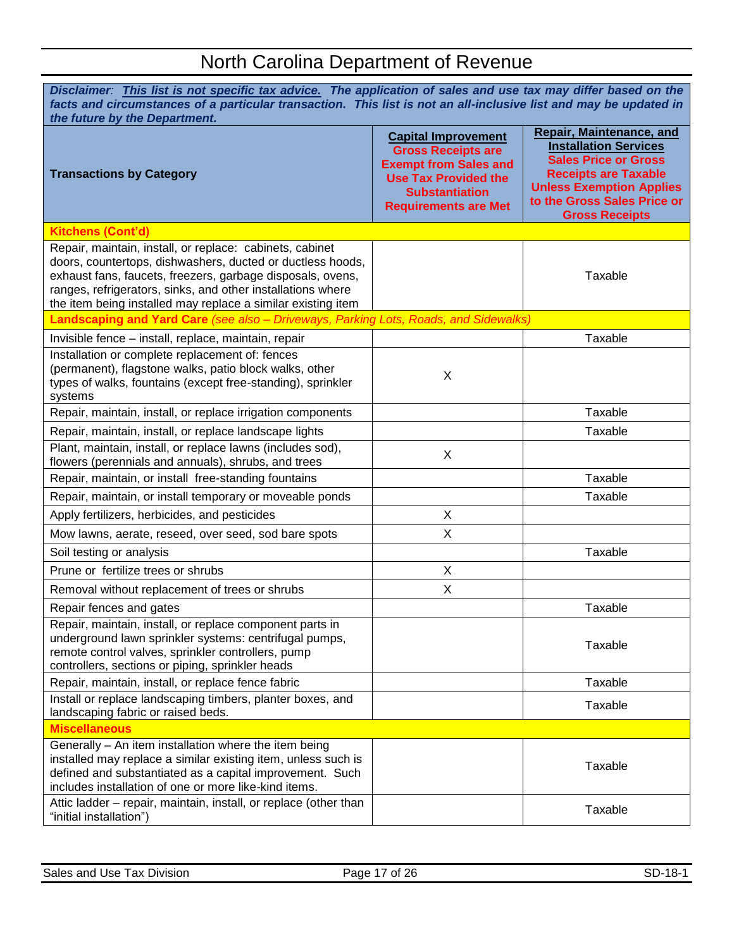| Disclaimer: This list is not specific tax advice. The application of sales and use tax may differ based on the                                                                                                                                                                                                      |                                                                                                                                                                                |                                                                                                                                                                                                                          |
|---------------------------------------------------------------------------------------------------------------------------------------------------------------------------------------------------------------------------------------------------------------------------------------------------------------------|--------------------------------------------------------------------------------------------------------------------------------------------------------------------------------|--------------------------------------------------------------------------------------------------------------------------------------------------------------------------------------------------------------------------|
| facts and circumstances of a particular transaction. This list is not an all-inclusive list and may be updated in<br>the future by the Department.                                                                                                                                                                  |                                                                                                                                                                                |                                                                                                                                                                                                                          |
| <b>Transactions by Category</b>                                                                                                                                                                                                                                                                                     | <b>Capital Improvement</b><br><b>Gross Receipts are</b><br><b>Exempt from Sales and</b><br><b>Use Tax Provided the</b><br><b>Substantiation</b><br><b>Requirements are Met</b> | <b>Repair, Maintenance, and</b><br><b>Installation Services</b><br><b>Sales Price or Gross</b><br><b>Receipts are Taxable</b><br><b>Unless Exemption Applies</b><br>to the Gross Sales Price or<br><b>Gross Receipts</b> |
| <b>Kitchens (Cont'd)</b>                                                                                                                                                                                                                                                                                            |                                                                                                                                                                                |                                                                                                                                                                                                                          |
| Repair, maintain, install, or replace: cabinets, cabinet<br>doors, countertops, dishwashers, ducted or ductless hoods,<br>exhaust fans, faucets, freezers, garbage disposals, ovens,<br>ranges, refrigerators, sinks, and other installations where<br>the item being installed may replace a similar existing item |                                                                                                                                                                                | Taxable                                                                                                                                                                                                                  |
| Landscaping and Yard Care (see also – Driveways, Parking Lots, Roads, and Sidewalks)                                                                                                                                                                                                                                |                                                                                                                                                                                |                                                                                                                                                                                                                          |
| Invisible fence - install, replace, maintain, repair                                                                                                                                                                                                                                                                |                                                                                                                                                                                | Taxable                                                                                                                                                                                                                  |
| Installation or complete replacement of: fences<br>(permanent), flagstone walks, patio block walks, other<br>types of walks, fountains (except free-standing), sprinkler<br>systems                                                                                                                                 | X                                                                                                                                                                              |                                                                                                                                                                                                                          |
| Repair, maintain, install, or replace irrigation components                                                                                                                                                                                                                                                         |                                                                                                                                                                                | Taxable                                                                                                                                                                                                                  |
| Repair, maintain, install, or replace landscape lights                                                                                                                                                                                                                                                              |                                                                                                                                                                                | Taxable                                                                                                                                                                                                                  |
| Plant, maintain, install, or replace lawns (includes sod),<br>flowers (perennials and annuals), shrubs, and trees                                                                                                                                                                                                   | X                                                                                                                                                                              |                                                                                                                                                                                                                          |
| Repair, maintain, or install free-standing fountains                                                                                                                                                                                                                                                                |                                                                                                                                                                                | Taxable                                                                                                                                                                                                                  |
| Repair, maintain, or install temporary or moveable ponds                                                                                                                                                                                                                                                            |                                                                                                                                                                                | Taxable                                                                                                                                                                                                                  |
| Apply fertilizers, herbicides, and pesticides                                                                                                                                                                                                                                                                       | X                                                                                                                                                                              |                                                                                                                                                                                                                          |
| Mow lawns, aerate, reseed, over seed, sod bare spots                                                                                                                                                                                                                                                                | X                                                                                                                                                                              |                                                                                                                                                                                                                          |
| Soil testing or analysis                                                                                                                                                                                                                                                                                            |                                                                                                                                                                                | Taxable                                                                                                                                                                                                                  |
| Prune or fertilize trees or shrubs                                                                                                                                                                                                                                                                                  | X                                                                                                                                                                              |                                                                                                                                                                                                                          |
| Removal without replacement of trees or shrubs                                                                                                                                                                                                                                                                      | Χ                                                                                                                                                                              |                                                                                                                                                                                                                          |
| Repair fences and gates                                                                                                                                                                                                                                                                                             |                                                                                                                                                                                | Taxable                                                                                                                                                                                                                  |
| Repair, maintain, install, or replace component parts in<br>underground lawn sprinkler systems: centrifugal pumps,<br>remote control valves, sprinkler controllers, pump<br>controllers, sections or piping, sprinkler heads                                                                                        |                                                                                                                                                                                | Taxable                                                                                                                                                                                                                  |
| Repair, maintain, install, or replace fence fabric                                                                                                                                                                                                                                                                  |                                                                                                                                                                                | Taxable                                                                                                                                                                                                                  |
| Install or replace landscaping timbers, planter boxes, and<br>landscaping fabric or raised beds.                                                                                                                                                                                                                    |                                                                                                                                                                                | Taxable                                                                                                                                                                                                                  |
| <b>Miscellaneous</b>                                                                                                                                                                                                                                                                                                |                                                                                                                                                                                |                                                                                                                                                                                                                          |
| Generally - An item installation where the item being<br>installed may replace a similar existing item, unless such is<br>defined and substantiated as a capital improvement. Such<br>includes installation of one or more like-kind items.                                                                         |                                                                                                                                                                                | Taxable                                                                                                                                                                                                                  |
| Attic ladder – repair, maintain, install, or replace (other than<br>"initial installation")                                                                                                                                                                                                                         |                                                                                                                                                                                | Taxable                                                                                                                                                                                                                  |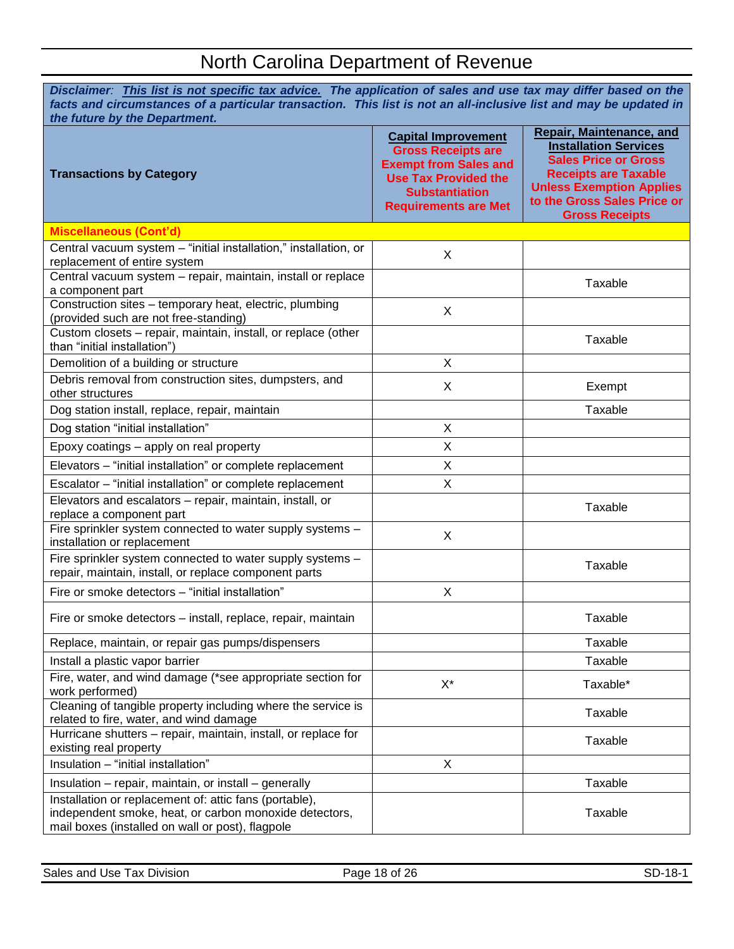| Disclaimer: This list is not specific tax advice. The application of sales and use tax may differ based on the                                                       |                                                                                                                                                                                |                                                                                                                                                                                                                          |  |
|----------------------------------------------------------------------------------------------------------------------------------------------------------------------|--------------------------------------------------------------------------------------------------------------------------------------------------------------------------------|--------------------------------------------------------------------------------------------------------------------------------------------------------------------------------------------------------------------------|--|
| facts and circumstances of a particular transaction. This list is not an all-inclusive list and may be updated in                                                    |                                                                                                                                                                                |                                                                                                                                                                                                                          |  |
| the future by the Department.<br><b>Transactions by Category</b>                                                                                                     | <b>Capital Improvement</b><br><b>Gross Receipts are</b><br><b>Exempt from Sales and</b><br><b>Use Tax Provided the</b><br><b>Substantiation</b><br><b>Requirements are Met</b> | <b>Repair, Maintenance, and</b><br><b>Installation Services</b><br><b>Sales Price or Gross</b><br><b>Receipts are Taxable</b><br><b>Unless Exemption Applies</b><br>to the Gross Sales Price or<br><b>Gross Receipts</b> |  |
| <b>Miscellaneous (Cont'd)</b>                                                                                                                                        |                                                                                                                                                                                |                                                                                                                                                                                                                          |  |
| Central vacuum system - "initial installation," installation, or<br>replacement of entire system                                                                     | X                                                                                                                                                                              |                                                                                                                                                                                                                          |  |
| Central vacuum system - repair, maintain, install or replace<br>a component part                                                                                     |                                                                                                                                                                                | Taxable                                                                                                                                                                                                                  |  |
| Construction sites - temporary heat, electric, plumbing<br>(provided such are not free-standing)                                                                     | X                                                                                                                                                                              |                                                                                                                                                                                                                          |  |
| Custom closets - repair, maintain, install, or replace (other<br>than "initial installation")                                                                        |                                                                                                                                                                                | Taxable                                                                                                                                                                                                                  |  |
| Demolition of a building or structure                                                                                                                                | X                                                                                                                                                                              |                                                                                                                                                                                                                          |  |
| Debris removal from construction sites, dumpsters, and<br>other structures                                                                                           | X                                                                                                                                                                              | Exempt                                                                                                                                                                                                                   |  |
| Dog station install, replace, repair, maintain                                                                                                                       |                                                                                                                                                                                | Taxable                                                                                                                                                                                                                  |  |
| Dog station "initial installation"                                                                                                                                   | X                                                                                                                                                                              |                                                                                                                                                                                                                          |  |
| Epoxy coatings - apply on real property                                                                                                                              | X                                                                                                                                                                              |                                                                                                                                                                                                                          |  |
| Elevators - "initial installation" or complete replacement                                                                                                           | X                                                                                                                                                                              |                                                                                                                                                                                                                          |  |
| Escalator - "initial installation" or complete replacement                                                                                                           | Χ                                                                                                                                                                              |                                                                                                                                                                                                                          |  |
| Elevators and escalators - repair, maintain, install, or<br>replace a component part                                                                                 |                                                                                                                                                                                | Taxable                                                                                                                                                                                                                  |  |
| Fire sprinkler system connected to water supply systems -<br>installation or replacement                                                                             | X                                                                                                                                                                              |                                                                                                                                                                                                                          |  |
| Fire sprinkler system connected to water supply systems -<br>repair, maintain, install, or replace component parts                                                   |                                                                                                                                                                                | Taxable                                                                                                                                                                                                                  |  |
| Fire or smoke detectors - "initial installation"                                                                                                                     | X                                                                                                                                                                              |                                                                                                                                                                                                                          |  |
| Fire or smoke detectors - install, replace, repair, maintain                                                                                                         |                                                                                                                                                                                | Taxable                                                                                                                                                                                                                  |  |
| Replace, maintain, or repair gas pumps/dispensers                                                                                                                    |                                                                                                                                                                                | Taxable                                                                                                                                                                                                                  |  |
| Install a plastic vapor barrier                                                                                                                                      |                                                                                                                                                                                | Taxable                                                                                                                                                                                                                  |  |
| Fire, water, and wind damage (*see appropriate section for<br>work performed)                                                                                        | $X^*$                                                                                                                                                                          | Taxable*                                                                                                                                                                                                                 |  |
| Cleaning of tangible property including where the service is<br>related to fire, water, and wind damage                                                              |                                                                                                                                                                                | Taxable                                                                                                                                                                                                                  |  |
| Hurricane shutters - repair, maintain, install, or replace for<br>existing real property                                                                             |                                                                                                                                                                                | Taxable                                                                                                                                                                                                                  |  |
| Insulation - "initial installation"                                                                                                                                  | X                                                                                                                                                                              |                                                                                                                                                                                                                          |  |
| Insulation - repair, maintain, or install - generally                                                                                                                |                                                                                                                                                                                | Taxable                                                                                                                                                                                                                  |  |
| Installation or replacement of: attic fans (portable),<br>independent smoke, heat, or carbon monoxide detectors,<br>mail boxes (installed on wall or post), flagpole |                                                                                                                                                                                | Taxable                                                                                                                                                                                                                  |  |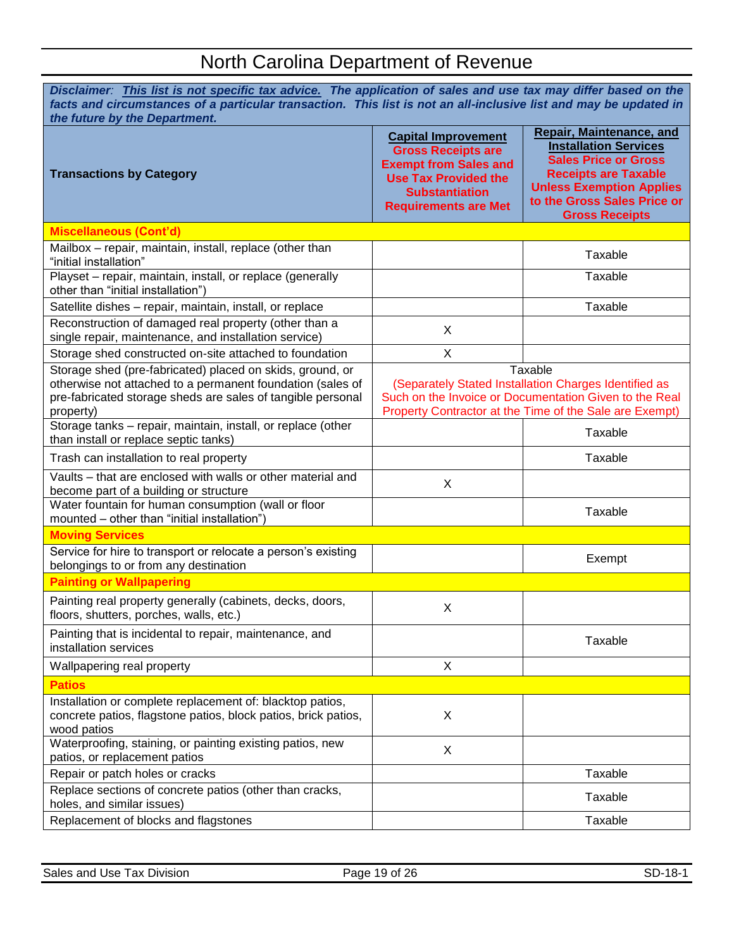| Disclaimer: <b>This list is not specific tax advice.</b> The application of sales and use tax may differ based on the                                                                               |                                                                                                                                                                                |                                                                                                                                                                                                                          |  |
|-----------------------------------------------------------------------------------------------------------------------------------------------------------------------------------------------------|--------------------------------------------------------------------------------------------------------------------------------------------------------------------------------|--------------------------------------------------------------------------------------------------------------------------------------------------------------------------------------------------------------------------|--|
| facts and circumstances of a particular transaction. This list is not an all-inclusive list and may be updated in                                                                                   |                                                                                                                                                                                |                                                                                                                                                                                                                          |  |
| the future by the Department.<br><b>Transactions by Category</b>                                                                                                                                    | <b>Capital Improvement</b><br><b>Gross Receipts are</b><br><b>Exempt from Sales and</b><br><b>Use Tax Provided the</b><br><b>Substantiation</b><br><b>Requirements are Met</b> | <b>Repair, Maintenance, and</b><br><b>Installation Services</b><br><b>Sales Price or Gross</b><br><b>Receipts are Taxable</b><br><b>Unless Exemption Applies</b><br>to the Gross Sales Price or<br><b>Gross Receipts</b> |  |
| <b>Miscellaneous (Cont'd)</b>                                                                                                                                                                       |                                                                                                                                                                                |                                                                                                                                                                                                                          |  |
| Mailbox - repair, maintain, install, replace (other than<br>"initial installation"                                                                                                                  |                                                                                                                                                                                | Taxable                                                                                                                                                                                                                  |  |
| Playset - repair, maintain, install, or replace (generally<br>other than "initial installation")                                                                                                    |                                                                                                                                                                                | Taxable                                                                                                                                                                                                                  |  |
| Satellite dishes - repair, maintain, install, or replace                                                                                                                                            |                                                                                                                                                                                | Taxable                                                                                                                                                                                                                  |  |
| Reconstruction of damaged real property (other than a<br>single repair, maintenance, and installation service)                                                                                      | X                                                                                                                                                                              |                                                                                                                                                                                                                          |  |
| Storage shed constructed on-site attached to foundation                                                                                                                                             | X                                                                                                                                                                              |                                                                                                                                                                                                                          |  |
| Storage shed (pre-fabricated) placed on skids, ground, or<br>otherwise not attached to a permanent foundation (sales of<br>pre-fabricated storage sheds are sales of tangible personal<br>property) |                                                                                                                                                                                | Taxable<br>(Separately Stated Installation Charges Identified as<br>Such on the Invoice or Documentation Given to the Real<br>Property Contractor at the Time of the Sale are Exempt)                                    |  |
| Storage tanks - repair, maintain, install, or replace (other<br>than install or replace septic tanks)                                                                                               |                                                                                                                                                                                | Taxable                                                                                                                                                                                                                  |  |
| Trash can installation to real property                                                                                                                                                             |                                                                                                                                                                                | Taxable                                                                                                                                                                                                                  |  |
| Vaults - that are enclosed with walls or other material and<br>become part of a building or structure                                                                                               | X                                                                                                                                                                              |                                                                                                                                                                                                                          |  |
| Water fountain for human consumption (wall or floor<br>mounted - other than "initial installation")                                                                                                 |                                                                                                                                                                                | Taxable                                                                                                                                                                                                                  |  |
| <b>Moving Services</b>                                                                                                                                                                              |                                                                                                                                                                                |                                                                                                                                                                                                                          |  |
| Service for hire to transport or relocate a person's existing<br>belongings to or from any destination                                                                                              |                                                                                                                                                                                | Exempt                                                                                                                                                                                                                   |  |
| <b>Painting or Wallpapering</b>                                                                                                                                                                     |                                                                                                                                                                                |                                                                                                                                                                                                                          |  |
| Painting real property generally (cabinets, decks, doors,<br>floors, shutters, porches, walls, etc.)                                                                                                | X                                                                                                                                                                              |                                                                                                                                                                                                                          |  |
| Painting that is incidental to repair, maintenance, and<br>installation services                                                                                                                    |                                                                                                                                                                                | Taxable                                                                                                                                                                                                                  |  |
| Wallpapering real property                                                                                                                                                                          | X                                                                                                                                                                              |                                                                                                                                                                                                                          |  |
| <b>Patios</b>                                                                                                                                                                                       |                                                                                                                                                                                |                                                                                                                                                                                                                          |  |
| Installation or complete replacement of: blacktop patios,<br>concrete patios, flagstone patios, block patios, brick patios,<br>wood patios                                                          | X                                                                                                                                                                              |                                                                                                                                                                                                                          |  |
| Waterproofing, staining, or painting existing patios, new<br>patios, or replacement patios                                                                                                          | X                                                                                                                                                                              |                                                                                                                                                                                                                          |  |
| Repair or patch holes or cracks                                                                                                                                                                     |                                                                                                                                                                                | Taxable                                                                                                                                                                                                                  |  |
| Replace sections of concrete patios (other than cracks,<br>holes, and similar issues)                                                                                                               |                                                                                                                                                                                | Taxable                                                                                                                                                                                                                  |  |
| Replacement of blocks and flagstones                                                                                                                                                                |                                                                                                                                                                                | Taxable                                                                                                                                                                                                                  |  |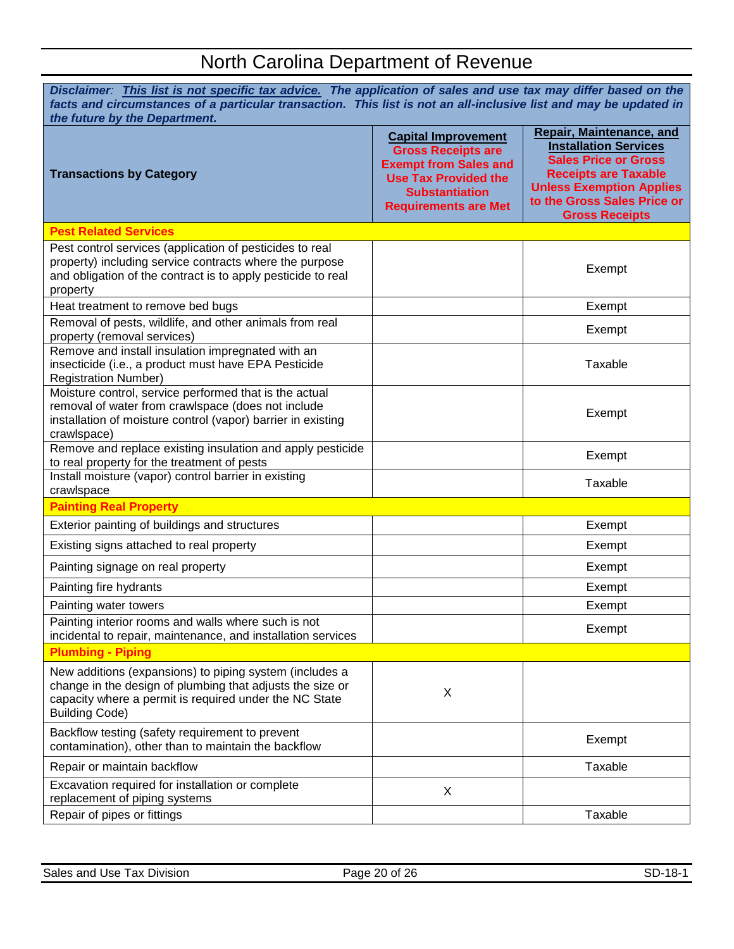| Disclaimer: <i>This list is not specific tax advice</i> . The application of sales and use tax may differ based on the                                                                                  |                                                                                                                                                                                |                                                                                                                                                                                                                          |
|---------------------------------------------------------------------------------------------------------------------------------------------------------------------------------------------------------|--------------------------------------------------------------------------------------------------------------------------------------------------------------------------------|--------------------------------------------------------------------------------------------------------------------------------------------------------------------------------------------------------------------------|
| facts and circumstances of a particular transaction. This list is not an all-inclusive list and may be updated in<br>the future by the Department.                                                      |                                                                                                                                                                                |                                                                                                                                                                                                                          |
| <b>Transactions by Category</b>                                                                                                                                                                         | <b>Capital Improvement</b><br><b>Gross Receipts are</b><br><b>Exempt from Sales and</b><br><b>Use Tax Provided the</b><br><b>Substantiation</b><br><b>Requirements are Met</b> | <b>Repair, Maintenance, and</b><br><b>Installation Services</b><br><b>Sales Price or Gross</b><br><b>Receipts are Taxable</b><br><b>Unless Exemption Applies</b><br>to the Gross Sales Price or<br><b>Gross Receipts</b> |
| <b>Pest Related Services</b>                                                                                                                                                                            |                                                                                                                                                                                |                                                                                                                                                                                                                          |
| Pest control services (application of pesticides to real<br>property) including service contracts where the purpose<br>and obligation of the contract is to apply pesticide to real<br>property         |                                                                                                                                                                                | Exempt                                                                                                                                                                                                                   |
| Heat treatment to remove bed bugs                                                                                                                                                                       |                                                                                                                                                                                | Exempt                                                                                                                                                                                                                   |
| Removal of pests, wildlife, and other animals from real<br>property (removal services)                                                                                                                  |                                                                                                                                                                                | Exempt                                                                                                                                                                                                                   |
| Remove and install insulation impregnated with an<br>insecticide (i.e., a product must have EPA Pesticide<br><b>Registration Number)</b>                                                                |                                                                                                                                                                                | Taxable                                                                                                                                                                                                                  |
| Moisture control, service performed that is the actual<br>removal of water from crawlspace (does not include<br>installation of moisture control (vapor) barrier in existing<br>crawlspace)             |                                                                                                                                                                                | Exempt                                                                                                                                                                                                                   |
| Remove and replace existing insulation and apply pesticide<br>to real property for the treatment of pests                                                                                               |                                                                                                                                                                                | Exempt                                                                                                                                                                                                                   |
| Install moisture (vapor) control barrier in existing<br>crawlspace                                                                                                                                      |                                                                                                                                                                                | Taxable                                                                                                                                                                                                                  |
| <b>Painting Real Property</b>                                                                                                                                                                           |                                                                                                                                                                                |                                                                                                                                                                                                                          |
| Exterior painting of buildings and structures                                                                                                                                                           |                                                                                                                                                                                | Exempt                                                                                                                                                                                                                   |
| Existing signs attached to real property                                                                                                                                                                |                                                                                                                                                                                | Exempt                                                                                                                                                                                                                   |
| Painting signage on real property                                                                                                                                                                       |                                                                                                                                                                                | Exempt                                                                                                                                                                                                                   |
| Painting fire hydrants                                                                                                                                                                                  |                                                                                                                                                                                | Exempt                                                                                                                                                                                                                   |
| Painting water towers                                                                                                                                                                                   |                                                                                                                                                                                | Exempt                                                                                                                                                                                                                   |
| Painting interior rooms and walls where such is not<br>incidental to repair, maintenance, and installation services                                                                                     |                                                                                                                                                                                | Exempt                                                                                                                                                                                                                   |
| <b>Plumbing - Piping</b>                                                                                                                                                                                |                                                                                                                                                                                |                                                                                                                                                                                                                          |
| New additions (expansions) to piping system (includes a<br>change in the design of plumbing that adjusts the size or<br>capacity where a permit is required under the NC State<br><b>Building Code)</b> | X                                                                                                                                                                              |                                                                                                                                                                                                                          |
| Backflow testing (safety requirement to prevent<br>contamination), other than to maintain the backflow                                                                                                  |                                                                                                                                                                                | Exempt                                                                                                                                                                                                                   |
| Repair or maintain backflow                                                                                                                                                                             |                                                                                                                                                                                | Taxable                                                                                                                                                                                                                  |
| Excavation required for installation or complete<br>replacement of piping systems                                                                                                                       | X                                                                                                                                                                              |                                                                                                                                                                                                                          |
| Repair of pipes or fittings                                                                                                                                                                             |                                                                                                                                                                                | Taxable                                                                                                                                                                                                                  |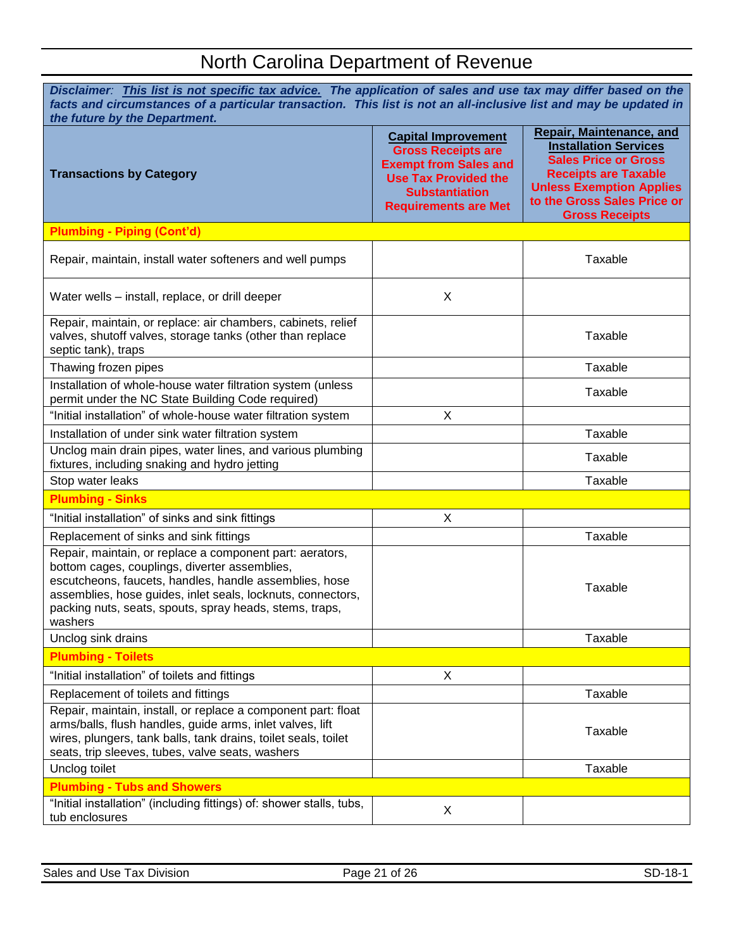| Disclaimer: This list is not specific tax advice. The application of sales and use tax may differ based on the                                                                                                                                                                                           |                                                                                                                                                                                |                                                                                                                                                                                                                          |
|----------------------------------------------------------------------------------------------------------------------------------------------------------------------------------------------------------------------------------------------------------------------------------------------------------|--------------------------------------------------------------------------------------------------------------------------------------------------------------------------------|--------------------------------------------------------------------------------------------------------------------------------------------------------------------------------------------------------------------------|
| facts and circumstances of a particular transaction. This list is not an all-inclusive list and may be updated in<br>the future by the Department.                                                                                                                                                       |                                                                                                                                                                                |                                                                                                                                                                                                                          |
| <b>Transactions by Category</b>                                                                                                                                                                                                                                                                          | <b>Capital Improvement</b><br><b>Gross Receipts are</b><br><b>Exempt from Sales and</b><br><b>Use Tax Provided the</b><br><b>Substantiation</b><br><b>Requirements are Met</b> | <b>Repair, Maintenance, and</b><br><b>Installation Services</b><br><b>Sales Price or Gross</b><br><b>Receipts are Taxable</b><br><b>Unless Exemption Applies</b><br>to the Gross Sales Price or<br><b>Gross Receipts</b> |
| <b>Plumbing - Piping (Cont'd)</b>                                                                                                                                                                                                                                                                        |                                                                                                                                                                                |                                                                                                                                                                                                                          |
| Repair, maintain, install water softeners and well pumps                                                                                                                                                                                                                                                 |                                                                                                                                                                                | Taxable                                                                                                                                                                                                                  |
| Water wells - install, replace, or drill deeper                                                                                                                                                                                                                                                          | X                                                                                                                                                                              |                                                                                                                                                                                                                          |
| Repair, maintain, or replace: air chambers, cabinets, relief<br>valves, shutoff valves, storage tanks (other than replace<br>septic tank), traps                                                                                                                                                         |                                                                                                                                                                                | Taxable                                                                                                                                                                                                                  |
| Thawing frozen pipes                                                                                                                                                                                                                                                                                     |                                                                                                                                                                                | Taxable                                                                                                                                                                                                                  |
| Installation of whole-house water filtration system (unless<br>permit under the NC State Building Code required)                                                                                                                                                                                         |                                                                                                                                                                                | Taxable                                                                                                                                                                                                                  |
| "Initial installation" of whole-house water filtration system                                                                                                                                                                                                                                            | X                                                                                                                                                                              |                                                                                                                                                                                                                          |
| Installation of under sink water filtration system                                                                                                                                                                                                                                                       |                                                                                                                                                                                | Taxable                                                                                                                                                                                                                  |
| Unclog main drain pipes, water lines, and various plumbing<br>fixtures, including snaking and hydro jetting                                                                                                                                                                                              |                                                                                                                                                                                | Taxable                                                                                                                                                                                                                  |
| Stop water leaks                                                                                                                                                                                                                                                                                         |                                                                                                                                                                                | Taxable                                                                                                                                                                                                                  |
| <b>Plumbing - Sinks</b>                                                                                                                                                                                                                                                                                  |                                                                                                                                                                                |                                                                                                                                                                                                                          |
| "Initial installation" of sinks and sink fittings                                                                                                                                                                                                                                                        | Χ                                                                                                                                                                              |                                                                                                                                                                                                                          |
| Replacement of sinks and sink fittings                                                                                                                                                                                                                                                                   |                                                                                                                                                                                | Taxable                                                                                                                                                                                                                  |
| Repair, maintain, or replace a component part: aerators,<br>bottom cages, couplings, diverter assemblies,<br>escutcheons, faucets, handles, handle assemblies, hose<br>assemblies, hose guides, inlet seals, locknuts, connectors,<br>packing nuts, seats, spouts, spray heads, stems, traps,<br>wasners |                                                                                                                                                                                | Taxable                                                                                                                                                                                                                  |
| Unclog sink drains                                                                                                                                                                                                                                                                                       |                                                                                                                                                                                | Taxable                                                                                                                                                                                                                  |
| <b>Plumbing - Toilets</b>                                                                                                                                                                                                                                                                                |                                                                                                                                                                                |                                                                                                                                                                                                                          |
| "Initial installation" of toilets and fittings                                                                                                                                                                                                                                                           | X                                                                                                                                                                              |                                                                                                                                                                                                                          |
| Replacement of toilets and fittings                                                                                                                                                                                                                                                                      |                                                                                                                                                                                | Taxable                                                                                                                                                                                                                  |
| Repair, maintain, install, or replace a component part: float<br>arms/balls, flush handles, guide arms, inlet valves, lift<br>wires, plungers, tank balls, tank drains, toilet seals, toilet<br>seats, trip sleeves, tubes, valve seats, washers                                                         |                                                                                                                                                                                | Taxable                                                                                                                                                                                                                  |
| Unclog toilet                                                                                                                                                                                                                                                                                            |                                                                                                                                                                                | Taxable                                                                                                                                                                                                                  |
| <b>Plumbing - Tubs and Showers</b>                                                                                                                                                                                                                                                                       |                                                                                                                                                                                |                                                                                                                                                                                                                          |
| "Initial installation" (including fittings) of: shower stalls, tubs,<br>tub enclosures                                                                                                                                                                                                                   | X                                                                                                                                                                              |                                                                                                                                                                                                                          |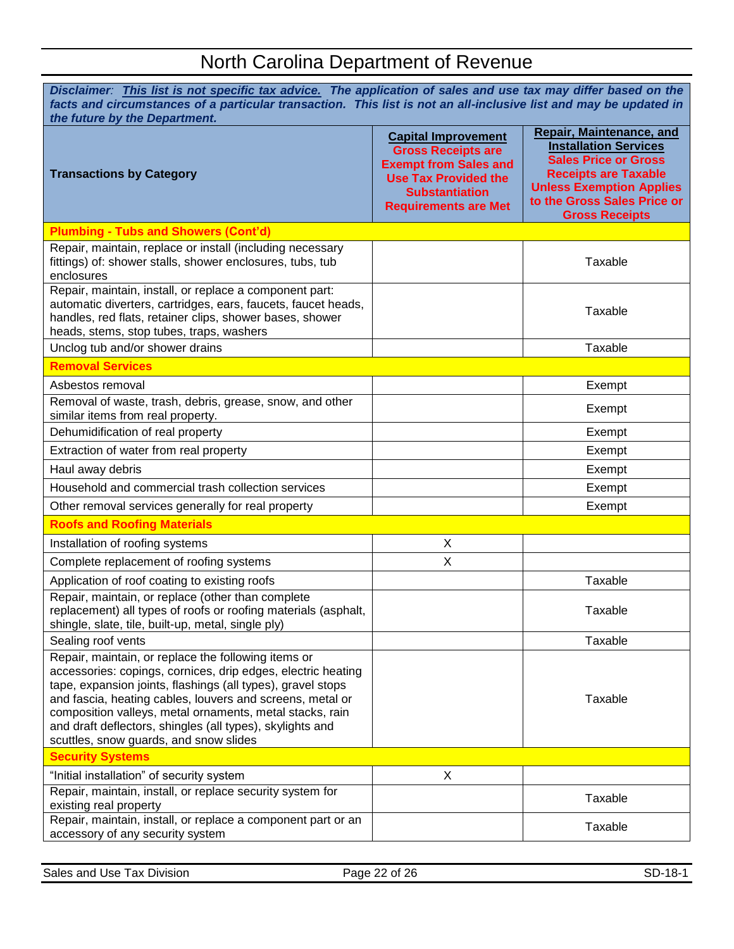| Disclaimer: <b>This list is not specific tax advice.</b> The application of sales and use tax may differ based on the                                                                                                                                                                                                                                                                                              |                                                                                                                                                                                |                                                                                                                                                                                                                          |
|--------------------------------------------------------------------------------------------------------------------------------------------------------------------------------------------------------------------------------------------------------------------------------------------------------------------------------------------------------------------------------------------------------------------|--------------------------------------------------------------------------------------------------------------------------------------------------------------------------------|--------------------------------------------------------------------------------------------------------------------------------------------------------------------------------------------------------------------------|
| facts and circumstances of a particular transaction. This list is not an all-inclusive list and may be updated in<br>the future by the Department.                                                                                                                                                                                                                                                                 |                                                                                                                                                                                |                                                                                                                                                                                                                          |
| <b>Transactions by Category</b>                                                                                                                                                                                                                                                                                                                                                                                    | <b>Capital Improvement</b><br><b>Gross Receipts are</b><br><b>Exempt from Sales and</b><br><b>Use Tax Provided the</b><br><b>Substantiation</b><br><b>Requirements are Met</b> | <b>Repair, Maintenance, and</b><br><b>Installation Services</b><br><b>Sales Price or Gross</b><br><b>Receipts are Taxable</b><br><b>Unless Exemption Applies</b><br>to the Gross Sales Price or<br><b>Gross Receipts</b> |
| <b>Plumbing - Tubs and Showers (Cont'd)</b>                                                                                                                                                                                                                                                                                                                                                                        |                                                                                                                                                                                |                                                                                                                                                                                                                          |
| Repair, maintain, replace or install (including necessary<br>fittings) of: shower stalls, shower enclosures, tubs, tub<br>enclosures                                                                                                                                                                                                                                                                               |                                                                                                                                                                                | Taxable                                                                                                                                                                                                                  |
| Repair, maintain, install, or replace a component part:<br>automatic diverters, cartridges, ears, faucets, faucet heads,<br>handles, red flats, retainer clips, shower bases, shower<br>heads, stems, stop tubes, traps, washers                                                                                                                                                                                   |                                                                                                                                                                                | Taxable                                                                                                                                                                                                                  |
| Unclog tub and/or shower drains                                                                                                                                                                                                                                                                                                                                                                                    |                                                                                                                                                                                | Taxable                                                                                                                                                                                                                  |
| <b>Removal Services</b>                                                                                                                                                                                                                                                                                                                                                                                            |                                                                                                                                                                                |                                                                                                                                                                                                                          |
| Asbestos removal                                                                                                                                                                                                                                                                                                                                                                                                   |                                                                                                                                                                                | Exempt                                                                                                                                                                                                                   |
| Removal of waste, trash, debris, grease, snow, and other<br>similar items from real property.                                                                                                                                                                                                                                                                                                                      |                                                                                                                                                                                | Exempt                                                                                                                                                                                                                   |
| Dehumidification of real property                                                                                                                                                                                                                                                                                                                                                                                  |                                                                                                                                                                                | Exempt                                                                                                                                                                                                                   |
| Extraction of water from real property                                                                                                                                                                                                                                                                                                                                                                             |                                                                                                                                                                                | Exempt                                                                                                                                                                                                                   |
| Haul away debris                                                                                                                                                                                                                                                                                                                                                                                                   |                                                                                                                                                                                | Exempt                                                                                                                                                                                                                   |
| Household and commercial trash collection services                                                                                                                                                                                                                                                                                                                                                                 |                                                                                                                                                                                | Exempt                                                                                                                                                                                                                   |
| Other removal services generally for real property                                                                                                                                                                                                                                                                                                                                                                 |                                                                                                                                                                                | Exempt                                                                                                                                                                                                                   |
| <b>Roofs and Roofing Materials</b>                                                                                                                                                                                                                                                                                                                                                                                 |                                                                                                                                                                                |                                                                                                                                                                                                                          |
| Installation of roofing systems                                                                                                                                                                                                                                                                                                                                                                                    | X                                                                                                                                                                              |                                                                                                                                                                                                                          |
| Complete replacement of roofing systems                                                                                                                                                                                                                                                                                                                                                                            | X                                                                                                                                                                              |                                                                                                                                                                                                                          |
| Application of roof coating to existing roofs                                                                                                                                                                                                                                                                                                                                                                      |                                                                                                                                                                                | Taxable                                                                                                                                                                                                                  |
| Repair, maintain, or replace (other than complete<br>replacement) all types of roofs or roofing materials (asphalt,<br>shingle, slate, tile, built-up, metal, single ply)                                                                                                                                                                                                                                          |                                                                                                                                                                                | Taxable                                                                                                                                                                                                                  |
| Sealing roof vents                                                                                                                                                                                                                                                                                                                                                                                                 |                                                                                                                                                                                | Taxable                                                                                                                                                                                                                  |
| Repair, maintain, or replace the following items or<br>accessories: copings, cornices, drip edges, electric heating<br>tape, expansion joints, flashings (all types), gravel stops<br>and fascia, heating cables, louvers and screens, metal or<br>composition valleys, metal ornaments, metal stacks, rain<br>and draft deflectors, shingles (all types), skylights and<br>scuttles, snow guards, and snow slides |                                                                                                                                                                                | Taxable                                                                                                                                                                                                                  |
| <b>Security Systems</b>                                                                                                                                                                                                                                                                                                                                                                                            |                                                                                                                                                                                |                                                                                                                                                                                                                          |
| "Initial installation" of security system                                                                                                                                                                                                                                                                                                                                                                          | X                                                                                                                                                                              |                                                                                                                                                                                                                          |
| Repair, maintain, install, or replace security system for<br>existing real property                                                                                                                                                                                                                                                                                                                                |                                                                                                                                                                                | Taxable                                                                                                                                                                                                                  |
| Repair, maintain, install, or replace a component part or an<br>accessory of any security system                                                                                                                                                                                                                                                                                                                   |                                                                                                                                                                                | Taxable                                                                                                                                                                                                                  |

Sales and Use Tax Division **Page 22 of 26** SD-18-1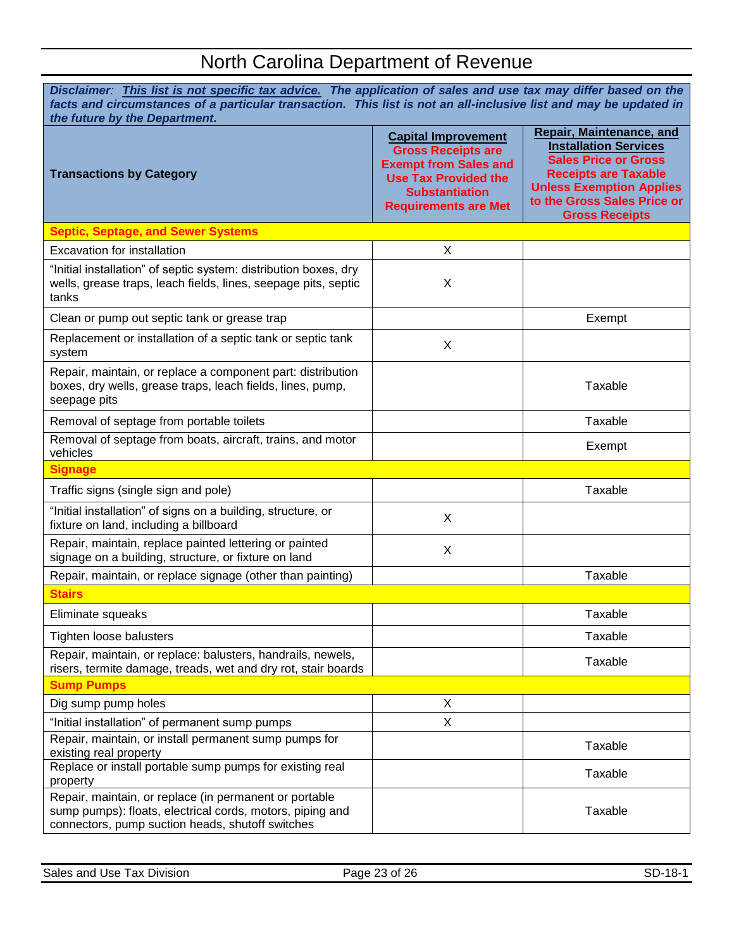| Disclaimer: This list is not specific tax advice. The application of sales and use tax may differ based on the                                                                      |                                                                                                                                                                                |                                                                                                                                                                                                                          |
|-------------------------------------------------------------------------------------------------------------------------------------------------------------------------------------|--------------------------------------------------------------------------------------------------------------------------------------------------------------------------------|--------------------------------------------------------------------------------------------------------------------------------------------------------------------------------------------------------------------------|
| facts and circumstances of a particular transaction. This list is not an all-inclusive list and may be updated in                                                                   |                                                                                                                                                                                |                                                                                                                                                                                                                          |
| the future by the Department.<br><b>Transactions by Category</b>                                                                                                                    | <b>Capital Improvement</b><br><b>Gross Receipts are</b><br><b>Exempt from Sales and</b><br><b>Use Tax Provided the</b><br><b>Substantiation</b><br><b>Requirements are Met</b> | <b>Repair, Maintenance, and</b><br><b>Installation Services</b><br><b>Sales Price or Gross</b><br><b>Receipts are Taxable</b><br><b>Unless Exemption Applies</b><br>to the Gross Sales Price or<br><b>Gross Receipts</b> |
| <b>Septic, Septage, and Sewer Systems</b>                                                                                                                                           |                                                                                                                                                                                |                                                                                                                                                                                                                          |
| <b>Excavation for installation</b>                                                                                                                                                  | X                                                                                                                                                                              |                                                                                                                                                                                                                          |
| "Initial installation" of septic system: distribution boxes, dry<br>wells, grease traps, leach fields, lines, seepage pits, septic<br>tanks                                         | X                                                                                                                                                                              |                                                                                                                                                                                                                          |
| Clean or pump out septic tank or grease trap                                                                                                                                        |                                                                                                                                                                                | Exempt                                                                                                                                                                                                                   |
| Replacement or installation of a septic tank or septic tank<br>system                                                                                                               | X                                                                                                                                                                              |                                                                                                                                                                                                                          |
| Repair, maintain, or replace a component part: distribution<br>boxes, dry wells, grease traps, leach fields, lines, pump,<br>seepage pits                                           |                                                                                                                                                                                | Taxable                                                                                                                                                                                                                  |
| Removal of septage from portable toilets                                                                                                                                            |                                                                                                                                                                                | Taxable                                                                                                                                                                                                                  |
| Removal of septage from boats, aircraft, trains, and motor<br>vehicles                                                                                                              |                                                                                                                                                                                | Exempt                                                                                                                                                                                                                   |
| <b>Signage</b>                                                                                                                                                                      |                                                                                                                                                                                |                                                                                                                                                                                                                          |
| Traffic signs (single sign and pole)                                                                                                                                                |                                                                                                                                                                                | Taxable                                                                                                                                                                                                                  |
| "Initial installation" of signs on a building, structure, or<br>fixture on land, including a billboard                                                                              | X                                                                                                                                                                              |                                                                                                                                                                                                                          |
| Repair, maintain, replace painted lettering or painted<br>signage on a building, structure, or fixture on land                                                                      | X                                                                                                                                                                              |                                                                                                                                                                                                                          |
| Repair, maintain, or replace signage (other than painting)                                                                                                                          |                                                                                                                                                                                | Taxable                                                                                                                                                                                                                  |
| <b>Stairs</b>                                                                                                                                                                       |                                                                                                                                                                                |                                                                                                                                                                                                                          |
| Eliminate squeaks                                                                                                                                                                   |                                                                                                                                                                                | Taxable                                                                                                                                                                                                                  |
| Tighten loose balusters                                                                                                                                                             |                                                                                                                                                                                | Taxable                                                                                                                                                                                                                  |
| Repair, maintain, or replace: balusters, handrails, newels,<br>risers, termite damage, treads, wet and dry rot, stair boards                                                        |                                                                                                                                                                                | Taxable                                                                                                                                                                                                                  |
| <b>Sump Pumps</b>                                                                                                                                                                   |                                                                                                                                                                                |                                                                                                                                                                                                                          |
| Dig sump pump holes                                                                                                                                                                 | Χ                                                                                                                                                                              |                                                                                                                                                                                                                          |
| "Initial installation" of permanent sump pumps                                                                                                                                      | X                                                                                                                                                                              |                                                                                                                                                                                                                          |
| Repair, maintain, or install permanent sump pumps for<br>existing real property                                                                                                     |                                                                                                                                                                                | Taxable                                                                                                                                                                                                                  |
| Replace or install portable sump pumps for existing real                                                                                                                            |                                                                                                                                                                                | Taxable                                                                                                                                                                                                                  |
| property<br>Repair, maintain, or replace (in permanent or portable<br>sump pumps): floats, electrical cords, motors, piping and<br>connectors, pump suction heads, shutoff switches |                                                                                                                                                                                | Taxable                                                                                                                                                                                                                  |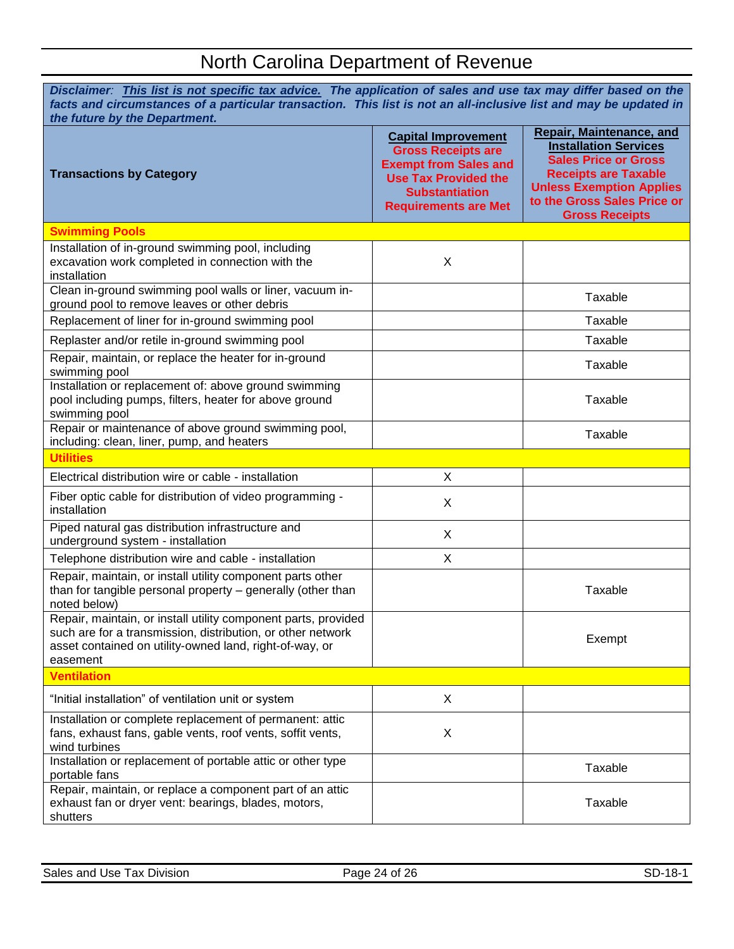| Disclaimer: This list is not specific tax advice. The application of sales and use tax may differ based on the                                                                                       |                                                                                                                                                                                |                                                                                                                                                                                                                          |
|------------------------------------------------------------------------------------------------------------------------------------------------------------------------------------------------------|--------------------------------------------------------------------------------------------------------------------------------------------------------------------------------|--------------------------------------------------------------------------------------------------------------------------------------------------------------------------------------------------------------------------|
| facts and circumstances of a particular transaction. This list is not an all-inclusive list and may be updated in<br>the future by the Department.                                                   |                                                                                                                                                                                |                                                                                                                                                                                                                          |
| <b>Transactions by Category</b>                                                                                                                                                                      | <b>Capital Improvement</b><br><b>Gross Receipts are</b><br><b>Exempt from Sales and</b><br><b>Use Tax Provided the</b><br><b>Substantiation</b><br><b>Requirements are Met</b> | <b>Repair, Maintenance, and</b><br><b>Installation Services</b><br><b>Sales Price or Gross</b><br><b>Receipts are Taxable</b><br><b>Unless Exemption Applies</b><br>to the Gross Sales Price or<br><b>Gross Receipts</b> |
| <b>Swimming Pools</b>                                                                                                                                                                                |                                                                                                                                                                                |                                                                                                                                                                                                                          |
| Installation of in-ground swimming pool, including<br>excavation work completed in connection with the<br>installation                                                                               | X                                                                                                                                                                              |                                                                                                                                                                                                                          |
| Clean in-ground swimming pool walls or liner, vacuum in-<br>ground pool to remove leaves or other debris                                                                                             |                                                                                                                                                                                | Taxable                                                                                                                                                                                                                  |
| Replacement of liner for in-ground swimming pool                                                                                                                                                     |                                                                                                                                                                                | Taxable                                                                                                                                                                                                                  |
| Replaster and/or retile in-ground swimming pool                                                                                                                                                      |                                                                                                                                                                                | Taxable                                                                                                                                                                                                                  |
| Repair, maintain, or replace the heater for in-ground<br>swimming pool                                                                                                                               |                                                                                                                                                                                | Taxable                                                                                                                                                                                                                  |
| Installation or replacement of: above ground swimming<br>pool including pumps, filters, heater for above ground<br>swimming pool                                                                     |                                                                                                                                                                                | Taxable                                                                                                                                                                                                                  |
| Repair or maintenance of above ground swimming pool,<br>including: clean, liner, pump, and heaters                                                                                                   |                                                                                                                                                                                | Taxable                                                                                                                                                                                                                  |
| <b>Utilities</b>                                                                                                                                                                                     |                                                                                                                                                                                |                                                                                                                                                                                                                          |
| Electrical distribution wire or cable - installation                                                                                                                                                 | X                                                                                                                                                                              |                                                                                                                                                                                                                          |
| Fiber optic cable for distribution of video programming -<br>installation                                                                                                                            | X                                                                                                                                                                              |                                                                                                                                                                                                                          |
| Piped natural gas distribution infrastructure and<br>underground system - installation                                                                                                               | X                                                                                                                                                                              |                                                                                                                                                                                                                          |
| Telephone distribution wire and cable - installation                                                                                                                                                 | X                                                                                                                                                                              |                                                                                                                                                                                                                          |
| Repair, maintain, or install utility component parts other<br>than for tangible personal property - generally (other than<br>noted below)                                                            |                                                                                                                                                                                | Taxable                                                                                                                                                                                                                  |
| Repair, maintain, or install utility component parts, provided<br>such are for a transmission, distribution, or other network<br>asset contained on utility-owned land, right-of-way, or<br>easement |                                                                                                                                                                                | Exempt                                                                                                                                                                                                                   |
| <b>Ventilation</b>                                                                                                                                                                                   |                                                                                                                                                                                |                                                                                                                                                                                                                          |
| "Initial installation" of ventilation unit or system                                                                                                                                                 | X                                                                                                                                                                              |                                                                                                                                                                                                                          |
| Installation or complete replacement of permanent: attic<br>fans, exhaust fans, gable vents, roof vents, soffit vents,<br>wind turbines                                                              | X                                                                                                                                                                              |                                                                                                                                                                                                                          |
| Installation or replacement of portable attic or other type<br>portable fans                                                                                                                         |                                                                                                                                                                                | Taxable                                                                                                                                                                                                                  |
| Repair, maintain, or replace a component part of an attic<br>exhaust fan or dryer vent: bearings, blades, motors,<br>shutters                                                                        |                                                                                                                                                                                | Taxable                                                                                                                                                                                                                  |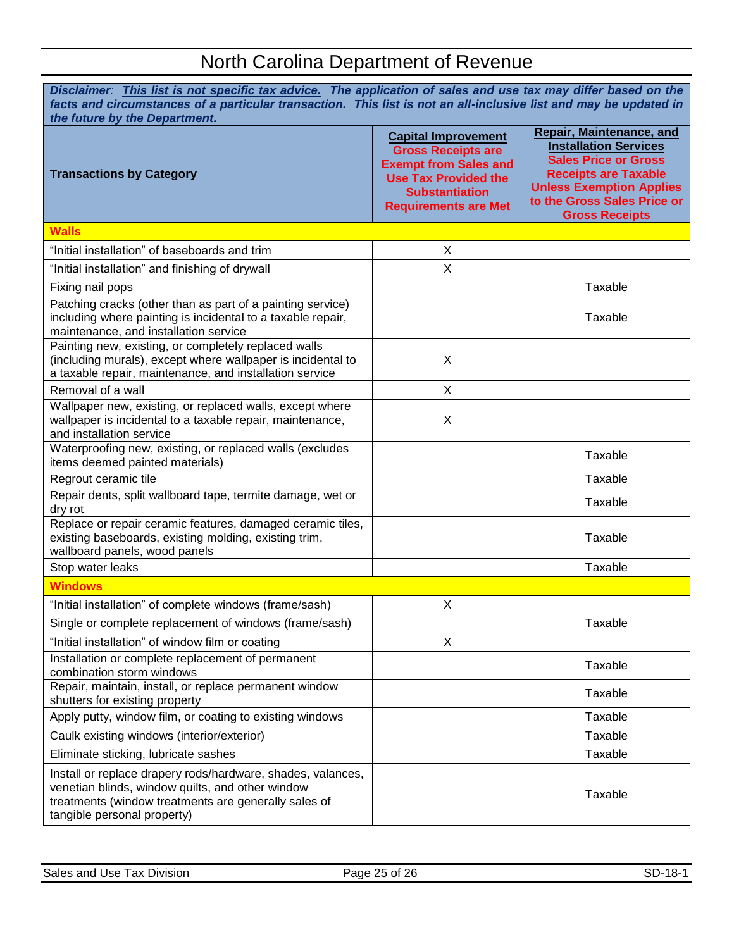| Disclaimer: This list is not specific tax advice. The application of sales and use tax may differ based on the                                                                                                             |                                                                                                                                                                                |                                                                                                                                                                                                                          |
|----------------------------------------------------------------------------------------------------------------------------------------------------------------------------------------------------------------------------|--------------------------------------------------------------------------------------------------------------------------------------------------------------------------------|--------------------------------------------------------------------------------------------------------------------------------------------------------------------------------------------------------------------------|
| facts and circumstances of a particular transaction. This list is not an all-inclusive list and may be updated in                                                                                                          |                                                                                                                                                                                |                                                                                                                                                                                                                          |
| the future by the Department.<br><b>Transactions by Category</b>                                                                                                                                                           | <b>Capital Improvement</b><br><b>Gross Receipts are</b><br><b>Exempt from Sales and</b><br><b>Use Tax Provided the</b><br><b>Substantiation</b><br><b>Requirements are Met</b> | <b>Repair, Maintenance, and</b><br><b>Installation Services</b><br><b>Sales Price or Gross</b><br><b>Receipts are Taxable</b><br><b>Unless Exemption Applies</b><br>to the Gross Sales Price or<br><b>Gross Receipts</b> |
| <b>Walls</b>                                                                                                                                                                                                               |                                                                                                                                                                                |                                                                                                                                                                                                                          |
| "Initial installation" of baseboards and trim                                                                                                                                                                              | X                                                                                                                                                                              |                                                                                                                                                                                                                          |
| "Initial installation" and finishing of drywall                                                                                                                                                                            | X                                                                                                                                                                              |                                                                                                                                                                                                                          |
| Fixing nail pops                                                                                                                                                                                                           |                                                                                                                                                                                | Taxable                                                                                                                                                                                                                  |
| Patching cracks (other than as part of a painting service)<br>including where painting is incidental to a taxable repair,<br>maintenance, and installation service<br>Painting new, existing, or completely replaced walls |                                                                                                                                                                                | Taxable                                                                                                                                                                                                                  |
| (including murals), except where wallpaper is incidental to<br>a taxable repair, maintenance, and installation service                                                                                                     | X                                                                                                                                                                              |                                                                                                                                                                                                                          |
| Removal of a wall                                                                                                                                                                                                          | X                                                                                                                                                                              |                                                                                                                                                                                                                          |
| Wallpaper new, existing, or replaced walls, except where<br>wallpaper is incidental to a taxable repair, maintenance,<br>and installation service                                                                          | X                                                                                                                                                                              |                                                                                                                                                                                                                          |
| Waterproofing new, existing, or replaced walls (excludes<br>items deemed painted materials)                                                                                                                                |                                                                                                                                                                                | Taxable                                                                                                                                                                                                                  |
| Regrout ceramic tile                                                                                                                                                                                                       |                                                                                                                                                                                | Taxable                                                                                                                                                                                                                  |
| Repair dents, split wallboard tape, termite damage, wet or<br>dry rot                                                                                                                                                      |                                                                                                                                                                                | Taxable                                                                                                                                                                                                                  |
| Replace or repair ceramic features, damaged ceramic tiles,<br>existing baseboards, existing molding, existing trim,<br>wallboard panels, wood panels                                                                       |                                                                                                                                                                                | Taxable                                                                                                                                                                                                                  |
| Stop water leaks                                                                                                                                                                                                           |                                                                                                                                                                                | Taxable                                                                                                                                                                                                                  |
| <b>Windows</b>                                                                                                                                                                                                             |                                                                                                                                                                                |                                                                                                                                                                                                                          |
| "Initial installation" of complete windows (frame/sash)                                                                                                                                                                    | X                                                                                                                                                                              |                                                                                                                                                                                                                          |
| Single or complete replacement of windows (frame/sash)                                                                                                                                                                     |                                                                                                                                                                                | Taxable                                                                                                                                                                                                                  |
| "Initial installation" of window film or coating                                                                                                                                                                           | X                                                                                                                                                                              |                                                                                                                                                                                                                          |
| Installation or complete replacement of permanent<br>combination storm windows                                                                                                                                             |                                                                                                                                                                                | Taxable                                                                                                                                                                                                                  |
| Repair, maintain, install, or replace permanent window<br>shutters for existing property                                                                                                                                   |                                                                                                                                                                                | Taxable                                                                                                                                                                                                                  |
| Apply putty, window film, or coating to existing windows                                                                                                                                                                   |                                                                                                                                                                                | Taxable                                                                                                                                                                                                                  |
| Caulk existing windows (interior/exterior)                                                                                                                                                                                 |                                                                                                                                                                                | Taxable                                                                                                                                                                                                                  |
| Eliminate sticking, lubricate sashes                                                                                                                                                                                       |                                                                                                                                                                                | Taxable                                                                                                                                                                                                                  |
| Install or replace drapery rods/hardware, shades, valances,<br>venetian blinds, window quilts, and other window<br>treatments (window treatments are generally sales of<br>tangible personal property)                     |                                                                                                                                                                                | Taxable                                                                                                                                                                                                                  |